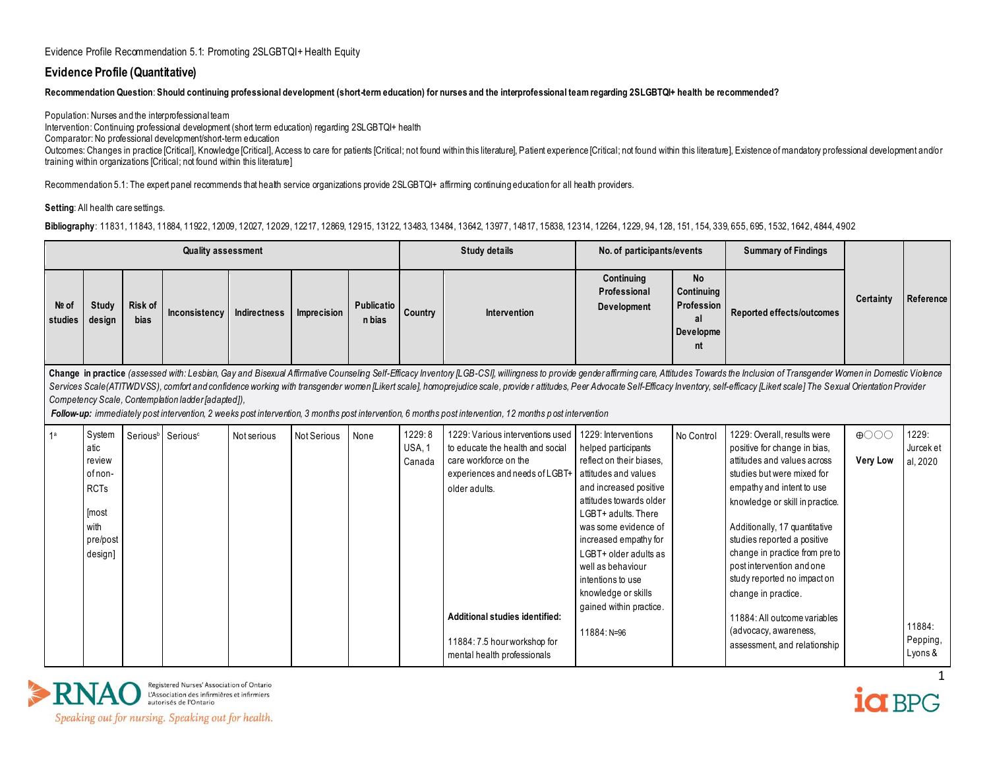#### **Evidence Profile (Quantitative)**

**Recommendation Question**: **Should continuing professional development (short-term education) for nurses and the interprofessional team regarding 2SLGBTQI+ health be recommended?**

Population: Nurses and the interprofessional team Intervention: Continuing professional development (short term education) regarding 2SLGBTQI+ health Comparator: No professional development/short-term education Outcomes: Changes in practice [Critical], Knowledge [Critical], Access to care for patients [Critical; not found within this literature], Patient experience [Critical; not found within this literature], Existence of mandat training within organizations [Critical; not found within this literature]

Recommendation 5.1: The expert panel recommends that health service organizations provide 2SLGBTQI+ affirming continuing education for all health providers.

#### **Setting:** All health care settings.

**Bibliography**: 11831, 11843, 11884, 11922, 12009, 12027, 12029, 12217, 12869, 12915, 13122, 13483, 13484, 13642, 13977, 14817, 15838, 12314, 12264, 1229, 94, 128, 151, 154, 339, 655, 695, 1532, 1642, 4844, 4902

|                  |                                                                                            |                               | <b>Quality assessment</b>                          |              |                    |                      |                            | <b>Study details</b>                                                                                                                                                                                                                                                                                                                                                                                                                                                                                                                                                                                                         | No. of participants/events                                                                                                                                                                                                                                                                                                              |                                                                | <b>Summary of Findings</b>                                                                                                                                                                                                                                                                                                                                                                                                                                             |                                |                                                                 |
|------------------|--------------------------------------------------------------------------------------------|-------------------------------|----------------------------------------------------|--------------|--------------------|----------------------|----------------------------|------------------------------------------------------------------------------------------------------------------------------------------------------------------------------------------------------------------------------------------------------------------------------------------------------------------------------------------------------------------------------------------------------------------------------------------------------------------------------------------------------------------------------------------------------------------------------------------------------------------------------|-----------------------------------------------------------------------------------------------------------------------------------------------------------------------------------------------------------------------------------------------------------------------------------------------------------------------------------------|----------------------------------------------------------------|------------------------------------------------------------------------------------------------------------------------------------------------------------------------------------------------------------------------------------------------------------------------------------------------------------------------------------------------------------------------------------------------------------------------------------------------------------------------|--------------------------------|-----------------------------------------------------------------|
| Nº of<br>studies | <b>Study</b><br>design                                                                     | <b>Risk of</b><br><b>bias</b> | Inconsistency                                      | Indirectness | Imprecision        | Publicatio<br>n bias | Country                    | Intervention                                                                                                                                                                                                                                                                                                                                                                                                                                                                                                                                                                                                                 | Continuing<br>Professional<br>Development                                                                                                                                                                                                                                                                                               | <b>No</b><br>Continuing<br>Profession<br>al<br>Developme<br>nt | Reported effects/outcomes                                                                                                                                                                                                                                                                                                                                                                                                                                              | Certainty                      | Reference                                                       |
|                  |                                                                                            |                               | Competency Scale, Contemplation ladder [adapted]), |              |                    |                      |                            | Change in practice (assessed with: Lesbian, Gay and Bisexual Affirmative Counseling Self-Efficacy Inventory [LGB-CSI], willingness to provide gender affirming care, Attitudes Towards the Inclusion of Transgender Women in D<br>Services Scale(ATITWDVSS), comfort and confidence working with transgender women [Likert scale], homoprejudice scale, provide r attitudes, Peer Advocate Self-Efficacy Inventory, self-efficacy [Likert scale] The Sexual Orie<br>Follow-up: immediately post intervention, 2 weeks post intervention, 3 months post intervention, 6 months post intervention, 12 months post intervention |                                                                                                                                                                                                                                                                                                                                         |                                                                |                                                                                                                                                                                                                                                                                                                                                                                                                                                                        |                                |                                                                 |
| 1 <sup>a</sup>   | System<br>atic<br>review<br>of non-<br><b>RCTs</b><br>[most<br>with<br>pre/post<br>design] |                               | Serious <sup>b</sup> Serious <sup>c</sup>          | Not serious  | <b>Not Serious</b> | None                 | 1229:8<br>USA, 1<br>Canada | 1229: Various interventions used<br>to educate the health and social<br>care workforce on the<br>experiences and needs of LGBT+ attitudes and values<br>older adults.<br>Additional studies identified:<br>11884: 7.5 hour workshop for<br>mental health professionals                                                                                                                                                                                                                                                                                                                                                       | 1229: Interventions<br>helped participants<br>reflect on their biases.<br>and increased positive<br>attitudes towards older<br>LGBT+ adults. There<br>was some evidence of<br>increased empathy for<br>LGBT+ older adults as<br>well as behaviour<br>intentions to use<br>knowledge or skills<br>gained within practice.<br>11884: N=96 | No Control                                                     | 1229: Overall, results were<br>positive for change in bias.<br>attitudes and values across<br>studies but were mixed for<br>empathy and intent to use<br>knowledge or skill in practice.<br>Additionally, 17 quantitative<br>studies reported a positive<br>change in practice from pre to<br>post intervention and one<br>study reported no impact on<br>change in practice.<br>11884: All outcome variables<br>(advocacy, awareness,<br>assessment, and relationship | $\bigoplus$<br><b>Very Low</b> | 1229:<br>Jurcek et<br>al, 2020<br>11884:<br>Pepping,<br>Lyons & |



ia BPG

1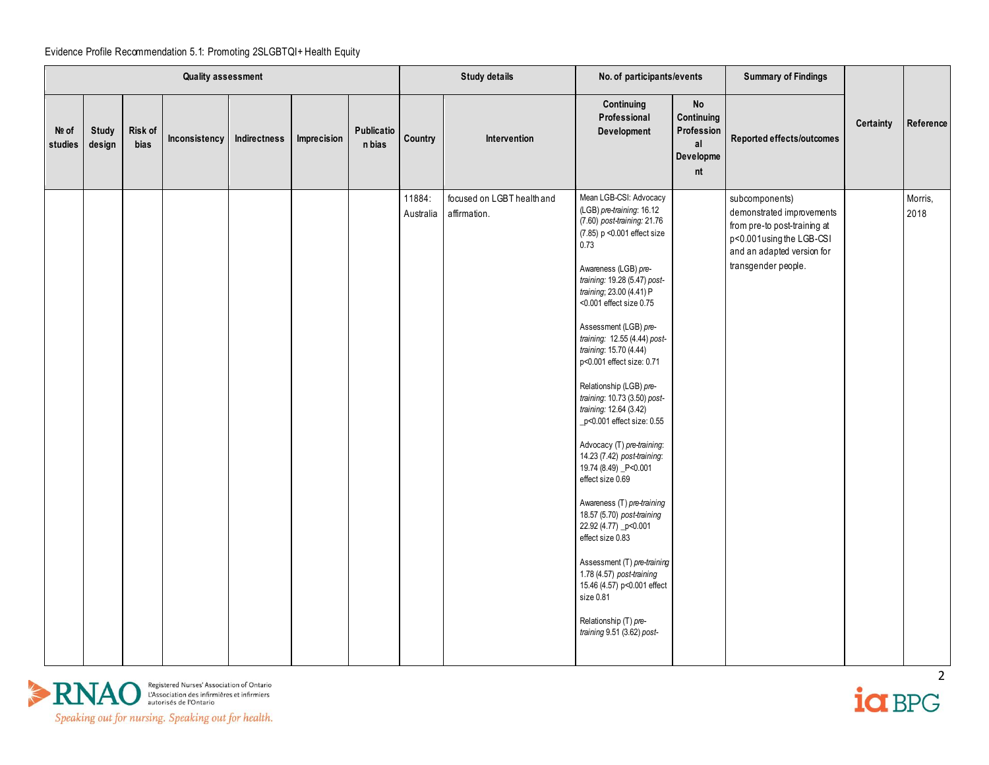|                  |                        |                 | <b>Quality assessment</b> |              |             |                      |         | <b>Study details</b>                                 | No. of participants/events                                                                                                                                                                                                                                                                                                                                                                                                                                                                                                                                                                                                                                                                                                                                                                                                                                    |                                                                    | <b>Summary of Findings</b>                                                                                                                                   |           |                 |
|------------------|------------------------|-----------------|---------------------------|--------------|-------------|----------------------|---------|------------------------------------------------------|---------------------------------------------------------------------------------------------------------------------------------------------------------------------------------------------------------------------------------------------------------------------------------------------------------------------------------------------------------------------------------------------------------------------------------------------------------------------------------------------------------------------------------------------------------------------------------------------------------------------------------------------------------------------------------------------------------------------------------------------------------------------------------------------------------------------------------------------------------------|--------------------------------------------------------------------|--------------------------------------------------------------------------------------------------------------------------------------------------------------|-----------|-----------------|
| Nº of<br>studies | <b>Study</b><br>design | Risk of<br>bias | Inconsistency             | Indirectness | Imprecision | Publicatio<br>n bias | Country | Intervention                                         | Continuing<br>Professional<br>Development                                                                                                                                                                                                                                                                                                                                                                                                                                                                                                                                                                                                                                                                                                                                                                                                                     | $\mathsf{No}$<br>Continuing<br>Profession<br>al<br>Developme<br>nt | Reported effects/outcomes                                                                                                                                    | Certainty | Reference       |
|                  |                        |                 |                           |              |             |                      | 11884:  | focused on LGBT health and<br>Australia affirmation. | Mean LGB-CSI: Advocacy<br>(LGB) pre-training: 16.12<br>(7.60) post-training: 21.76<br>(7.85) p < 0.001 effect size<br>0.73<br>Awareness (LGB) pre-<br>training: 19.28 (5.47) post-<br>training; 23.00 (4.41) P<br><0.001 effect size 0.75<br>Assessment (LGB) pre-<br>training: 12.55 (4.44) post-<br>training: 15.70 (4.44)<br>p<0.001 effect size: 0.71<br>Relationship (LGB) pre-<br>training: 10.73 (3.50) post-<br>training: 12.64 (3.42)<br>_p<0.001 effect size: 0.55<br>Advocacy (T) pre-training:<br>14.23 (7.42) post-training:<br>19.74 (8.49) P<0.001<br>effect size 0.69<br>Awareness (T) pre-training<br>18.57 (5.70) post-training<br>22.92 (4.77) _p<0.001<br>effect size 0.83<br>Assessment (T) pre-training<br>1.78 (4.57) post-training<br>15.46 (4.57) p<0.001 effect<br>size 0.81<br>Relationship (T) pre-<br>training 9.51 (3.62) post- |                                                                    | subcomponents)<br>demonstrated improvements<br>from pre-to post-training at<br>p<0.001using the LGB-CSI<br>and an adapted version for<br>transgender people. |           | Morris,<br>2018 |



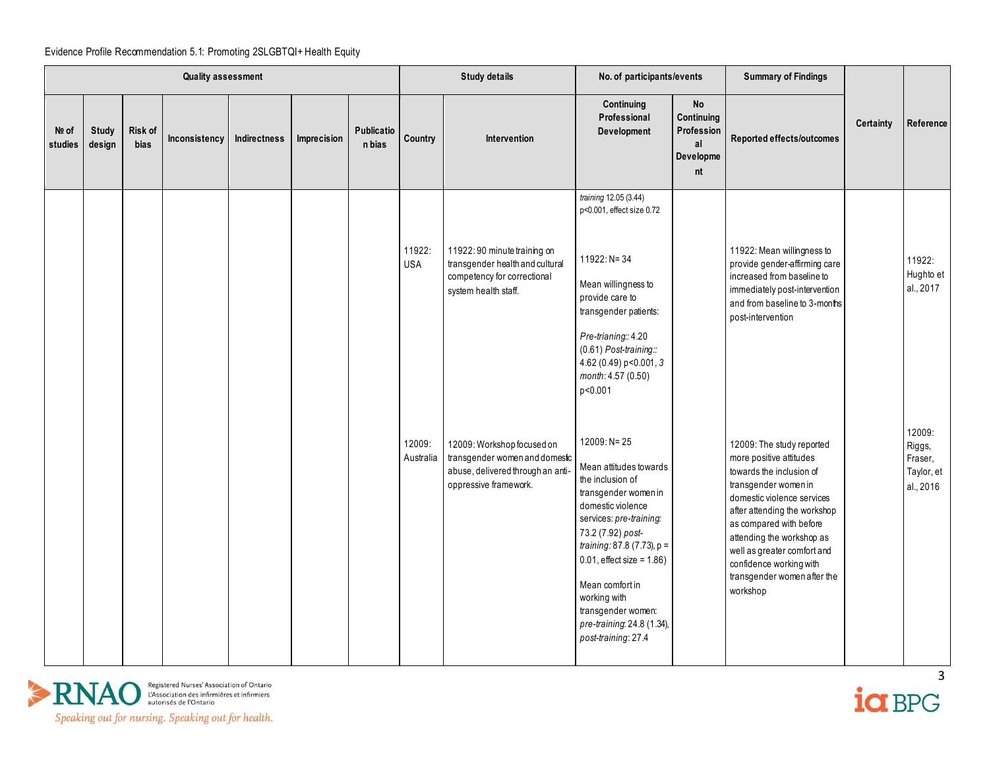|                  |                        |                 | <b>Quality assessment</b> |              |             |                             |                      | <b>Study details</b>                                                                                                       | No. of participants/events                                                                                                                                                                                                                                                                                                          |                                                                | <b>Summary of Findings</b>                                                                                                                                                                                                                                                                                                          |           |                                                        |
|------------------|------------------------|-----------------|---------------------------|--------------|-------------|-----------------------------|----------------------|----------------------------------------------------------------------------------------------------------------------------|-------------------------------------------------------------------------------------------------------------------------------------------------------------------------------------------------------------------------------------------------------------------------------------------------------------------------------------|----------------------------------------------------------------|-------------------------------------------------------------------------------------------------------------------------------------------------------------------------------------------------------------------------------------------------------------------------------------------------------------------------------------|-----------|--------------------------------------------------------|
| Nº of<br>studies | <b>Study</b><br>design | Risk of<br>bias | Inconsistency             | Indirectness | Imprecision | <b>Publicatio</b><br>n bias | Country              | Intervention                                                                                                               | Continuing<br>Professional<br>Development                                                                                                                                                                                                                                                                                           | <b>No</b><br>Continuing<br>Profession<br>al<br>Developme<br>nt | Reported effects/outcomes                                                                                                                                                                                                                                                                                                           | Certainty | Reference                                              |
|                  |                        |                 |                           |              |             |                             | 11922:<br><b>USA</b> | 11922:90 minute training on<br>transgender health and cultural<br>competency for correctional<br>system health staff.      | training 12.05 (3.44)<br>p<0.001, effect size 0.72<br>11922: N= 34<br>Mean willingness to<br>provide care to<br>transgender patients:<br>Pre-trianing: 4.20<br>$(0.61)$ Post-training::<br>4.62 (0.49) p<0.001, 3<br>month: 4.57 (0.50)<br>p<0.001                                                                                  |                                                                | 11922: Mean willingness to<br>provide gender-affirming care<br>increased from baseline to<br>immediately post-intervention<br>and from baseline to 3-months<br>post-intervention                                                                                                                                                    |           | 11922:<br>Hughto et<br>al., 2017                       |
|                  |                        |                 |                           |              |             |                             | 12009:<br>Australia  | 12009: Workshop focused on<br>transgender women and domestic<br>abuse, delivered through an anti-<br>oppressive framework. | 12009: N= 25<br>Mean attitudes towards<br>the inclusion of<br>transgender women in<br>domestic violence<br>services: pre-training:<br>73.2 (7.92) post-<br>training: 87.8 (7.73), p =<br>$0.01$ , effect size = 1.86)<br>Mean comfort in<br>working with<br>transgender women:<br>pre-training: 24.8 (1.34),<br>post-training: 27.4 |                                                                | 12009: The study reported<br>more positive attitudes<br>towards the inclusion of<br>transgender women in<br>domestic violence services<br>after attending the workshop<br>as compared with before<br>attending the workshop as<br>well as greater comfort and<br>confidence working with<br>transgender women after the<br>workshop |           | 12009:<br>Riggs,<br>Fraser,<br>Taylor, et<br>al., 2016 |



 $i\alpha$  BPG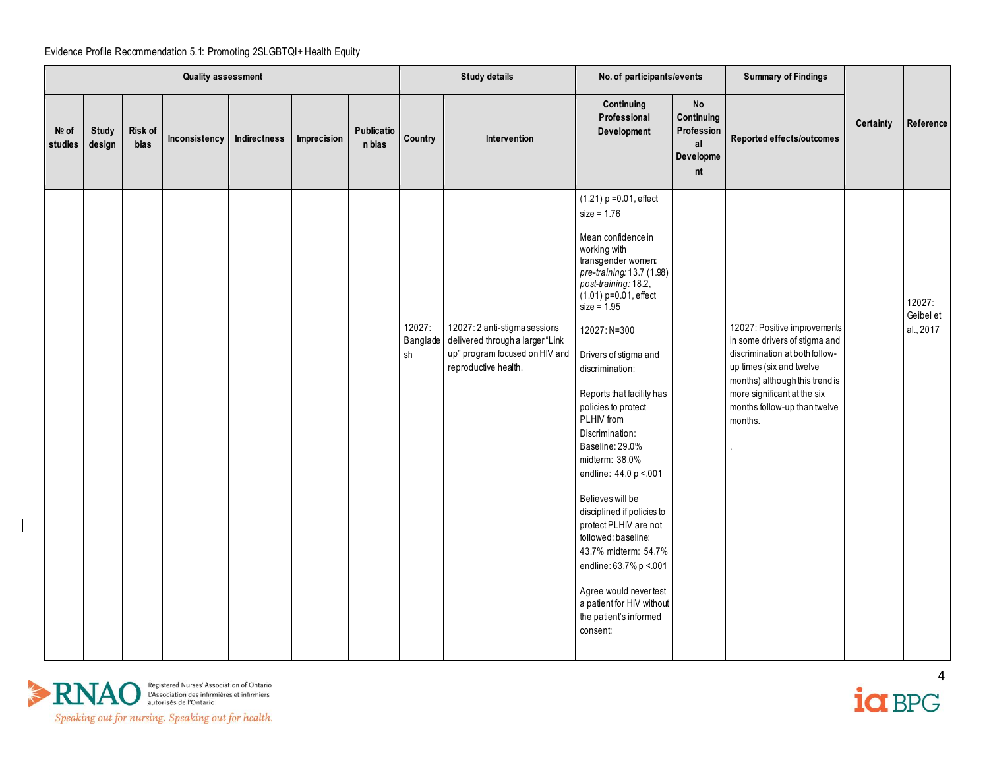|                  |                        |                 | Quality assessment |              |             |                      |              | <b>Study details</b>                                                                                                                 | No. of participants/events                                                                                                                                                                                                                                                                                                                                                                                                                                                                                                                                                                                                                                              |                                                                | <b>Summary of Findings</b>                                                                                                                                                                                                              |                  |                                  |
|------------------|------------------------|-----------------|--------------------|--------------|-------------|----------------------|--------------|--------------------------------------------------------------------------------------------------------------------------------------|-------------------------------------------------------------------------------------------------------------------------------------------------------------------------------------------------------------------------------------------------------------------------------------------------------------------------------------------------------------------------------------------------------------------------------------------------------------------------------------------------------------------------------------------------------------------------------------------------------------------------------------------------------------------------|----------------------------------------------------------------|-----------------------------------------------------------------------------------------------------------------------------------------------------------------------------------------------------------------------------------------|------------------|----------------------------------|
| Nº of<br>studies | <b>Study</b><br>design | Risk of<br>bias | Inconsistency      | Indirectness | Imprecision | Publicatio<br>n bias | Country      | Intervention                                                                                                                         | Continuing<br>Professional<br>Development                                                                                                                                                                                                                                                                                                                                                                                                                                                                                                                                                                                                                               | <b>No</b><br>Continuing<br>Profession<br>al<br>Developme<br>nt | Reported effects/outcomes                                                                                                                                                                                                               | <b>Certainty</b> | Reference                        |
|                  |                        |                 |                    |              |             |                      | 12027:<br>sh | 12027: 2 anti-stigma sessions<br>Banglade delivered through a larger "Link<br>up" program focused on HIV and<br>reproductive health. | $(1.21)$ p = 0.01, effect<br>$size = 1.76$<br>Mean confidence in<br>working with<br>transgender women:<br>pre-training: 13.7 (1.98)<br>post-training: 18.2,<br>$(1.01)$ p=0.01, effect<br>size = $1.95$<br>12027: N=300<br>Drivers of stigma and<br>discrimination:<br>Reports that facility has<br>policies to protect<br>PLHIV from<br>Discrimination:<br>Baseline: 29.0%<br>midterm: 38.0%<br>endline: 44.0 p < 001<br>Believes will be<br>disciplined if policies to<br>protect PLHIV_are not<br>followed: baseline:<br>43.7% midterm: 54.7%<br>endline: 63.7% p <. 001<br>Agree would nevertest<br>a patient for HIV without<br>the patient's informed<br>consent: |                                                                | 12027: Positive improvements<br>in some drivers of stigma and<br>discrimination at both follow-<br>up times (six and twelve<br>months) although this trend is<br>more significant at the six<br>months follow-up than twelve<br>months. |                  | 12027:<br>Geibel et<br>al., 2017 |



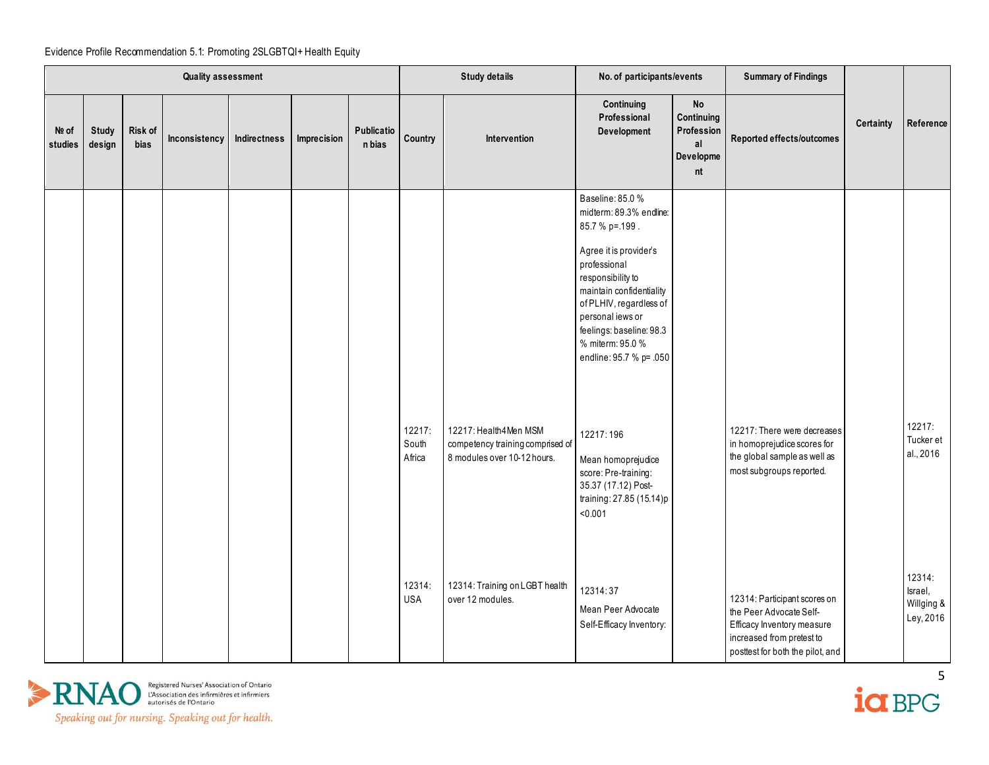|                  |                        |                 | <b>Quality assessment</b> |              |             |                             |                           | <b>Study details</b>                                                                     | No. of participants/events                                                                                                                                                                                                                                                                                                                                                                                  |                                                                | <b>Summary of Findings</b>                                                                                                                             |                  |                                              |
|------------------|------------------------|-----------------|---------------------------|--------------|-------------|-----------------------------|---------------------------|------------------------------------------------------------------------------------------|-------------------------------------------------------------------------------------------------------------------------------------------------------------------------------------------------------------------------------------------------------------------------------------------------------------------------------------------------------------------------------------------------------------|----------------------------------------------------------------|--------------------------------------------------------------------------------------------------------------------------------------------------------|------------------|----------------------------------------------|
| Nº of<br>studies | <b>Study</b><br>design | Risk of<br>bias | Inconsistency             | Indirectness | Imprecision | <b>Publicatio</b><br>n bias | Country                   | Intervention                                                                             | Continuing<br>Professional<br>Development                                                                                                                                                                                                                                                                                                                                                                   | <b>No</b><br>Continuing<br>Profession<br>al<br>Developme<br>nt | Reported effects/outcomes                                                                                                                              | <b>Certainty</b> | Reference                                    |
|                  |                        |                 |                           |              |             |                             | 12217:<br>South<br>Africa | 12217: Health4Men MSM<br>competency training comprised of<br>8 modules over 10-12 hours. | Baseline: 85.0 %<br>midterm: 89.3% endline:<br>85.7 % p=.199.<br>Agree it is provider's<br>professional<br>responsibility to<br>maintain confidentiality<br>of PLHIV, regardless of<br>personal iews or<br>feelings: baseline: 98.3<br>% miterm: 95.0 %<br>endline: 95.7 % p= .050<br>12217:196<br>Mean homoprejudice<br>score: Pre-training:<br>35.37 (17.12) Post-<br>training: 27.85 (15.14)p<br>< 0.001 |                                                                | 12217: There were decreases<br>in homoprejudice scores for<br>the global sample as well as<br>most subgroups reported.                                 |                  | 12217:<br>Tucker et<br>al., 2016             |
|                  |                        |                 |                           |              |             |                             | 12314:<br><b>USA</b>      | 12314: Training on LGBT health<br>over 12 modules.                                       | 12314:37<br>Mean Peer Advocate<br>Self-Efficacy Inventory:                                                                                                                                                                                                                                                                                                                                                  |                                                                | 12314: Participant scores on<br>the Peer Advocate Self-<br>Efficacy Inventory measure<br>increased from pretest to<br>posttest for both the pilot, and |                  | 12314:<br>Israel,<br>Willging &<br>Ley, 2016 |



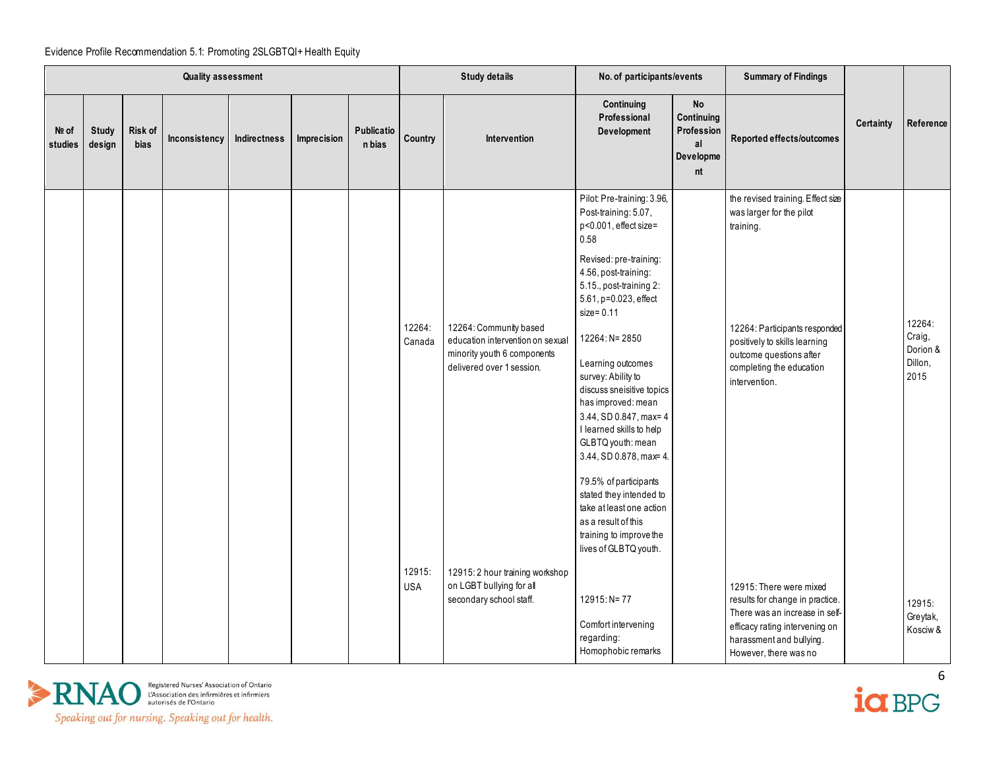|                  |                 |                        | <b>Quality assessment</b> |              |             |                             |                      | <b>Study details</b>                                                                                                   | No. of participants/events                                                                                                                                                                                                                                                                                                                                                                                                                                                                                                                                                                  |                                                                | <b>Summary of Findings</b>                                                                                                                                                                                           |           |                                                 |
|------------------|-----------------|------------------------|---------------------------|--------------|-------------|-----------------------------|----------------------|------------------------------------------------------------------------------------------------------------------------|---------------------------------------------------------------------------------------------------------------------------------------------------------------------------------------------------------------------------------------------------------------------------------------------------------------------------------------------------------------------------------------------------------------------------------------------------------------------------------------------------------------------------------------------------------------------------------------------|----------------------------------------------------------------|----------------------------------------------------------------------------------------------------------------------------------------------------------------------------------------------------------------------|-----------|-------------------------------------------------|
| Nº of<br>studies | Study<br>design | Risk of<br><b>bias</b> | Inconsistency             | Indirectness | Imprecision | <b>Publicatio</b><br>n bias | Country              | Intervention                                                                                                           | Continuing<br>Professional<br>Development                                                                                                                                                                                                                                                                                                                                                                                                                                                                                                                                                   | <b>No</b><br>Continuing<br>Profession<br>al<br>Developme<br>nt | Reported effects/outcomes                                                                                                                                                                                            | Certainty | Reference                                       |
|                  |                 |                        |                           |              |             |                             | 12264:<br>Canada     | 12264: Community based<br>education intervention on sexual<br>minority youth 6 components<br>delivered over 1 session. | Pilot: Pre-training: 3.96,<br>Post-training: 5.07,<br>p<0.001, effect size=<br>0.58<br>Revised: pre-training:<br>4.56, post-training:<br>5.15., post-training 2:<br>5.61, p=0.023, effect<br>$size = 0.11$<br>12264: N= 2850<br>Learning outcomes<br>survey: Ability to<br>discuss sneisitive topics<br>has improved: mean<br>3.44, SD 0.847, max= 4<br>I learned skills to help<br>GLBTQ youth: mean<br>3.44, SD 0.878, max= 4.<br>79.5% of participants<br>stated they intended to<br>take at least one action<br>as a result of this<br>training to improve the<br>lives of GLBTQ youth. |                                                                | the revised training. Effect size<br>was larger for the pilot<br>training.<br>12264: Participants responded<br>positively to skills learning<br>outcome questions after<br>completing the education<br>intervention. |           | 12264:<br>Craig,<br>Dorion &<br>Dillon,<br>2015 |
|                  |                 |                        |                           |              |             |                             | 12915:<br><b>USA</b> | 12915: 2 hour training workshop<br>on LGBT bullying for all<br>secondary school staff.                                 | 12915: N= 77<br>Comfort intervening<br>regarding:<br>Homophobic remarks                                                                                                                                                                                                                                                                                                                                                                                                                                                                                                                     |                                                                | 12915: There were mixed<br>results for change in practice.<br>There was an increase in self-<br>efficacy rating intervening on<br>harassment and bullying.<br>However, there was no                                  |           | 12915:<br>Greytak,<br>Kosciw &                  |



ia BPG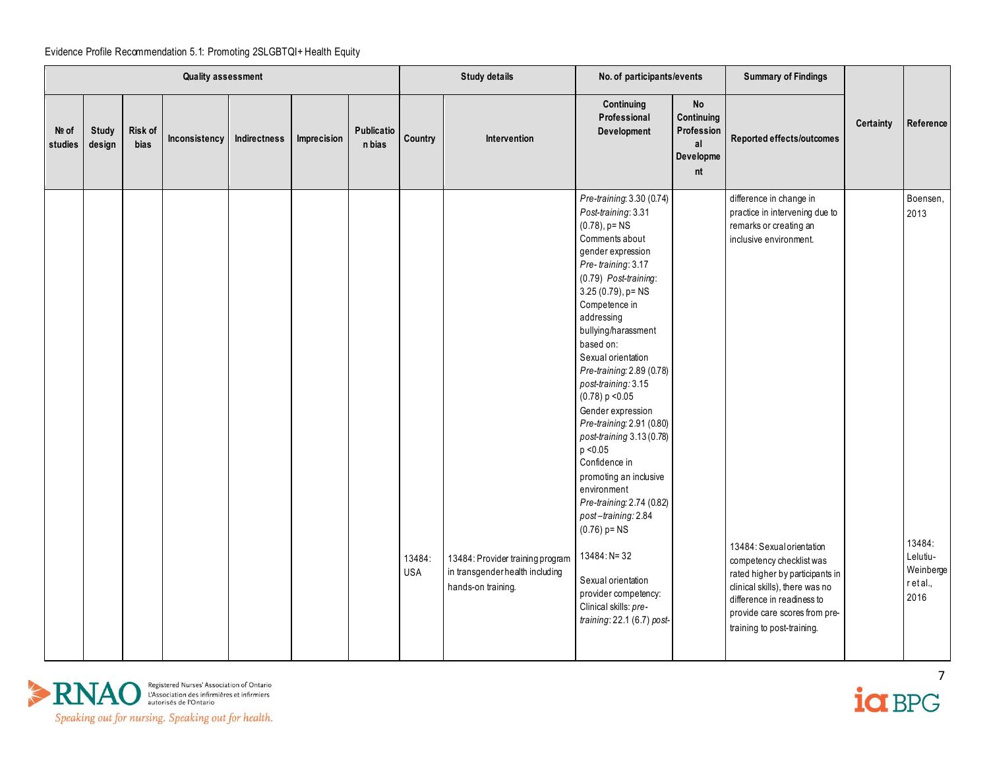|                  |                        |                 | <b>Quality assessment</b> |              |             |                      |                      | <b>Study details</b>                                                                      | No. of participants/events                                                                                                                                                                                                                                                                                                                                                                                                                                                                                                                                                                                                                                                                           |                                                                | <b>Summary of Findings</b>                                                                                                                                                                                                                                                                                                               |           |                                                                          |
|------------------|------------------------|-----------------|---------------------------|--------------|-------------|----------------------|----------------------|-------------------------------------------------------------------------------------------|------------------------------------------------------------------------------------------------------------------------------------------------------------------------------------------------------------------------------------------------------------------------------------------------------------------------------------------------------------------------------------------------------------------------------------------------------------------------------------------------------------------------------------------------------------------------------------------------------------------------------------------------------------------------------------------------------|----------------------------------------------------------------|------------------------------------------------------------------------------------------------------------------------------------------------------------------------------------------------------------------------------------------------------------------------------------------------------------------------------------------|-----------|--------------------------------------------------------------------------|
| Nº of<br>studies | <b>Study</b><br>design | Risk of<br>bias | Inconsistency             | Indirectness | Imprecision | Publicatio<br>n bias | Country              | Intervention                                                                              | Continuing<br>Professional<br>Development                                                                                                                                                                                                                                                                                                                                                                                                                                                                                                                                                                                                                                                            | <b>No</b><br>Continuing<br>Profession<br>al<br>Developme<br>nt | Reported effects/outcomes                                                                                                                                                                                                                                                                                                                | Certainty | Reference                                                                |
|                  |                        |                 |                           |              |             |                      | 13484:<br><b>USA</b> | 13484: Provider training program<br>in transgender health including<br>hands-on training. | Pre-training: 3.30 (0.74)<br>Post-training: 3.31<br>$(0.78)$ , p= $NS$<br>Comments about<br>gender expression<br>Pre-training: 3.17<br>(0.79) Post-training:<br>$3.25(0.79)$ , p= NS<br>Competence in<br>addressing<br>bullying/harassment<br>based on:<br>Sexual orientation<br>Pre-training: 2.89 (0.78)<br>post-training: 3.15<br>(0.78) p < 0.05<br>Gender expression<br>Pre-training: 2.91 (0.80)<br>post-training 3.13 (0.78)<br>p < 0.05<br>Confidence in<br>promoting an inclusive<br>environment<br>Pre-training: 2.74 (0.82)<br>post-training: 2.84<br>$(0.76)$ p= NS<br>13484: N= 32<br>Sexual orientation<br>provider competency:<br>Clinical skills: pre-<br>training: 22.1 (6.7) post- |                                                                | difference in change in<br>practice in intervening due to<br>remarks or creating an<br>inclusive environment.<br>13484: Sexual orientation<br>competency checklist was<br>rated higher by participants in<br>clinical skills), there was no<br>difference in readiness to<br>provide care scores from pre-<br>training to post-training. |           | Boensen,<br>2013<br>13484:<br>Lelutiu-<br>Weinberge<br>r et al.,<br>2016 |



 $\frac{1}{2}$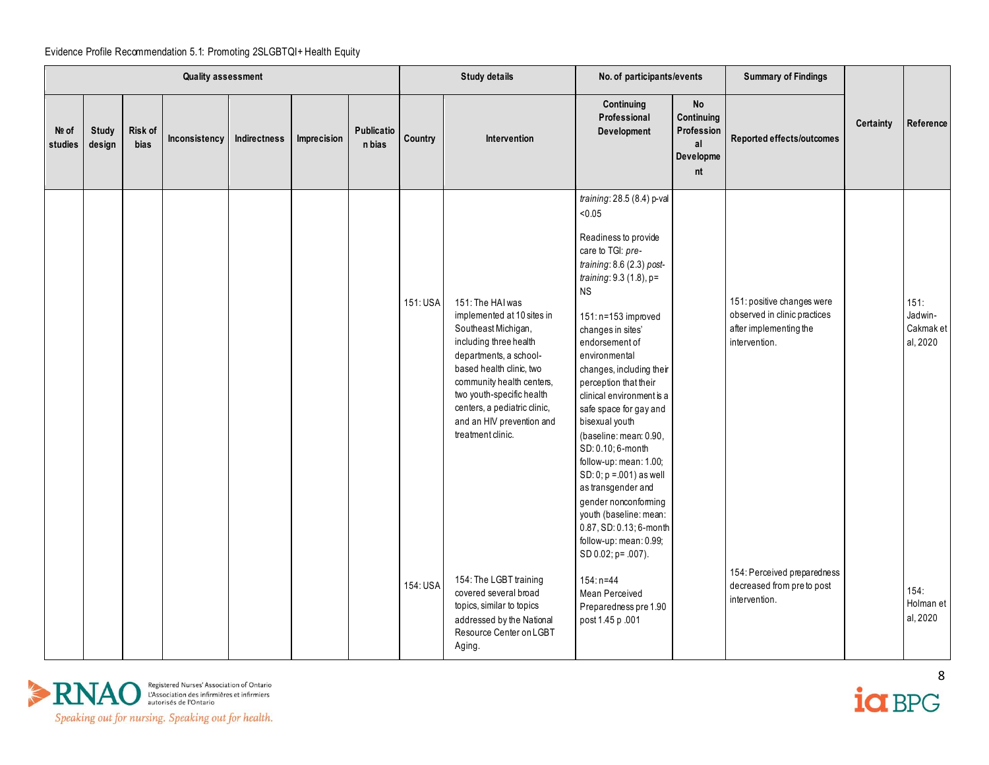|                  |                        |                        | Quality assessment |              |             |                      |          | <b>Study details</b>                                                                                                                                                                                                                                                                              | No. of participants/events                                                                                                                                                                                                                                                                                                                                                                                                                                                                                                                                                                                                    |                                                                | <b>Summary of Findings</b>                                                                            |           |                                          |
|------------------|------------------------|------------------------|--------------------|--------------|-------------|----------------------|----------|---------------------------------------------------------------------------------------------------------------------------------------------------------------------------------------------------------------------------------------------------------------------------------------------------|-------------------------------------------------------------------------------------------------------------------------------------------------------------------------------------------------------------------------------------------------------------------------------------------------------------------------------------------------------------------------------------------------------------------------------------------------------------------------------------------------------------------------------------------------------------------------------------------------------------------------------|----------------------------------------------------------------|-------------------------------------------------------------------------------------------------------|-----------|------------------------------------------|
| Nº of<br>studies | <b>Study</b><br>design | <b>Risk of</b><br>bias | Inconsistency      | Indirectness | Imprecision | Publicatio<br>n bias | Country  | Intervention                                                                                                                                                                                                                                                                                      | Continuing<br>Professional<br>Development                                                                                                                                                                                                                                                                                                                                                                                                                                                                                                                                                                                     | <b>No</b><br>Continuing<br>Profession<br>al<br>Developme<br>nt | Reported effects/outcomes                                                                             | Certainty | Reference                                |
|                  |                        |                        |                    |              |             |                      | 151: USA | 151: The HAI was<br>implemented at 10 sites in<br>Southeast Michigan,<br>including three health<br>departments, a school-<br>based health clinic, two<br>community health centers,<br>two youth-specific health<br>centers, a pediatric clinic,<br>and an HIV prevention and<br>treatment clinic. | training: 28.5 (8.4) p-val<br>< 0.05<br>Readiness to provide<br>care to TGI: pre-<br>training: 8.6 (2.3) post-<br>training: $9.3(1.8)$ , p=<br><b>NS</b><br>151: n=153 improved<br>changes in sites'<br>endorsement of<br>environmental<br>changes, including their<br>perception that their<br>clinical environment is a<br>safe space for gay and<br>bisexual youth<br>(baseline: mean: 0.90,<br>SD: 0.10; 6-month<br>follow-up: mean: 1.00;<br>SD: 0; p = .001) as well<br>as transgender and<br>gender nonconforming<br>youth (baseline: mean:<br>0.87, SD: 0.13; 6-month<br>follow-up: mean: 0.99;<br>SD 0.02; p= .007). |                                                                | 151: positive changes were<br>observed in clinic practices<br>after implementing the<br>intervention. |           | 151.<br>Jadwin-<br>Cakmak et<br>al, 2020 |
|                  |                        |                        |                    |              |             |                      | 154: USA | 154: The LGBT training<br>covered several broad<br>topics, similar to topics<br>addressed by the National<br>Resource Center on LGBT<br>Aging.                                                                                                                                                    | $154: n=44$<br>Mean Perceived<br>Preparedness pre 1.90<br>post 1.45 p .001                                                                                                                                                                                                                                                                                                                                                                                                                                                                                                                                                    |                                                                | 154: Perceived preparedness<br>decreased from pre to post<br>intervention.                            |           | 154.<br>Holman et<br>al, 2020            |



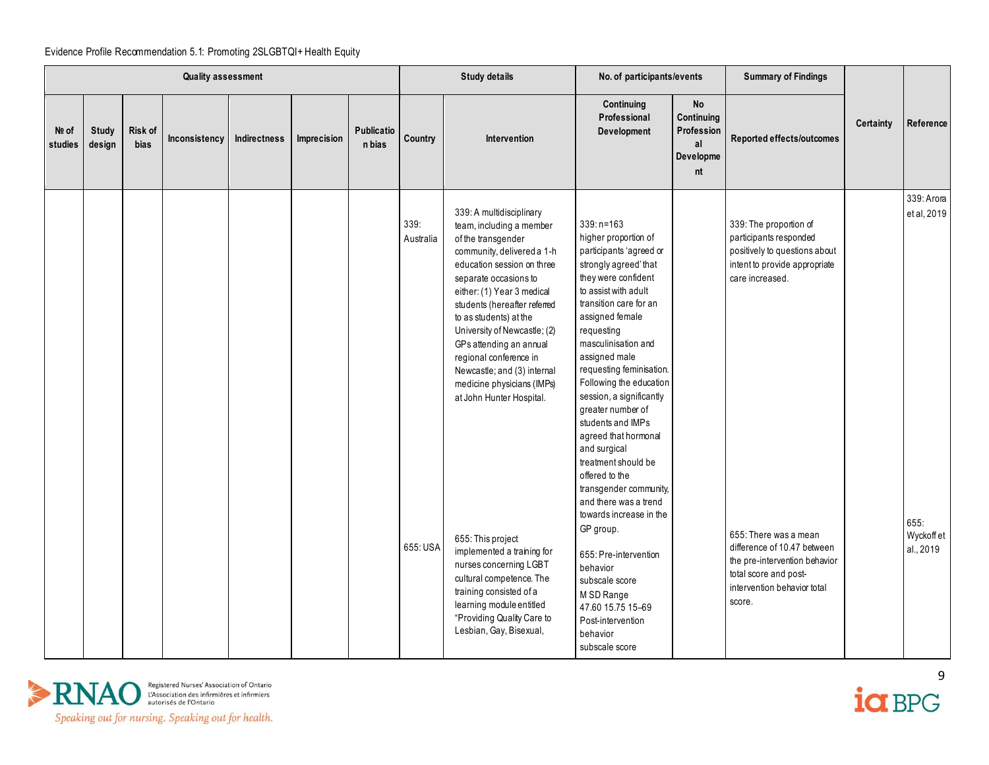|                  |                        |                 | <b>Quality assessment</b> |              |             |                      |                               | <b>Study details</b>                                                                                                                                                                                                                                                                                                                                                                                                                                                                                                                                                                                                                                           | No. of participants/events                                                                                                                                                                                                                                                                                                                                                                                                                                                                                                                                                                                                                                                                         |                                                                | <b>Summary of Findings</b>                                                                                                                                                                                                                                                                       |           |                                                             |
|------------------|------------------------|-----------------|---------------------------|--------------|-------------|----------------------|-------------------------------|----------------------------------------------------------------------------------------------------------------------------------------------------------------------------------------------------------------------------------------------------------------------------------------------------------------------------------------------------------------------------------------------------------------------------------------------------------------------------------------------------------------------------------------------------------------------------------------------------------------------------------------------------------------|----------------------------------------------------------------------------------------------------------------------------------------------------------------------------------------------------------------------------------------------------------------------------------------------------------------------------------------------------------------------------------------------------------------------------------------------------------------------------------------------------------------------------------------------------------------------------------------------------------------------------------------------------------------------------------------------------|----------------------------------------------------------------|--------------------------------------------------------------------------------------------------------------------------------------------------------------------------------------------------------------------------------------------------------------------------------------------------|-----------|-------------------------------------------------------------|
| Nº of<br>studies | <b>Study</b><br>design | Risk of<br>bias | Inconsistency             | Indirectness | Imprecision | Publicatio<br>n bias | Country                       | Intervention                                                                                                                                                                                                                                                                                                                                                                                                                                                                                                                                                                                                                                                   | Continuing<br>Professional<br>Development                                                                                                                                                                                                                                                                                                                                                                                                                                                                                                                                                                                                                                                          | <b>No</b><br>Continuing<br>Profession<br>al<br>Developme<br>nt | Reported effects/outcomes                                                                                                                                                                                                                                                                        | Certainty | Reference                                                   |
|                  |                        |                 |                           |              |             |                      | 339:<br>Australia<br>655: USA | 339: A multidisciplinary<br>team, including a member<br>of the transgender<br>community, delivered a 1-h<br>education session on three<br>separate occasions to<br>either: (1) Year 3 medical<br>students (hereafter referred<br>to as students) at the<br>University of Newcastle; (2)<br>GPs attending an annual<br>regional conference in<br>Newcastle; and (3) internal<br>medicine physicians (IMPs)<br>at John Hunter Hospital.<br>655: This project<br>implemented a training for<br>nurses concerning LGBT<br>cultural competence. The<br>training consisted of a<br>learning module entitled<br>"Providing Quality Care to<br>Lesbian, Gay, Bisexual, | $339: n = 163$<br>higher proportion of<br>participants 'agreed or<br>strongly agreed' that<br>they were confident<br>to assist with adult<br>transition care for an<br>assigned female<br>requesting<br>masculinisation and<br>assigned male<br>requesting feminisation.<br>Following the education<br>session, a significantly<br>greater number of<br>students and IMPs<br>agreed that hormonal<br>and surgical<br>treatment should be<br>offered to the<br>transgender community,<br>and there was a trend<br>towards increase in the<br>GP group.<br>655: Pre-intervention<br>behavior<br>subscale score<br>M SD Range<br>47.60 15.75 15-69<br>Post-intervention<br>behavior<br>subscale score |                                                                | 339: The proportion of<br>participants responded<br>positively to questions about<br>intent to provide appropriate<br>care increased.<br>655: There was a mean<br>difference of 10.47 between<br>the pre-intervention behavior<br>total score and post-<br>intervention behavior total<br>score. |           | 339: Arora<br>et al, 2019<br>655.<br>Wyckoffet<br>al., 2019 |



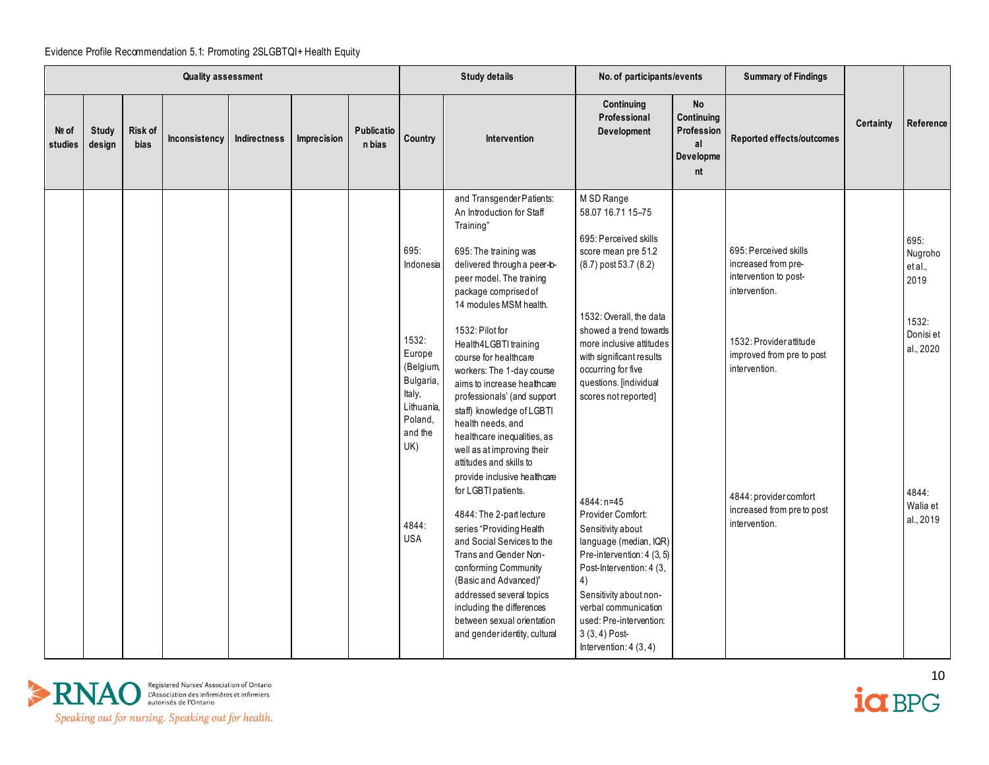|                  |                        |                 | <b>Quality assessment</b> |              |             |                      |                                                                                                                                            | <b>Study details</b>                                                                                                                                                                                                                                                                                                                                                                                                                                                                                                                                                                                                                                                                                                                                                                                                                                               | No. of participants/events                                                                                                                                                                                                                                                                                                                                                                                                                                                                                                                                                 |                                                                | <b>Summary of Findings</b>                                                                                                                                                                                                              |           |                                                                                                         |
|------------------|------------------------|-----------------|---------------------------|--------------|-------------|----------------------|--------------------------------------------------------------------------------------------------------------------------------------------|--------------------------------------------------------------------------------------------------------------------------------------------------------------------------------------------------------------------------------------------------------------------------------------------------------------------------------------------------------------------------------------------------------------------------------------------------------------------------------------------------------------------------------------------------------------------------------------------------------------------------------------------------------------------------------------------------------------------------------------------------------------------------------------------------------------------------------------------------------------------|----------------------------------------------------------------------------------------------------------------------------------------------------------------------------------------------------------------------------------------------------------------------------------------------------------------------------------------------------------------------------------------------------------------------------------------------------------------------------------------------------------------------------------------------------------------------------|----------------------------------------------------------------|-----------------------------------------------------------------------------------------------------------------------------------------------------------------------------------------------------------------------------------------|-----------|---------------------------------------------------------------------------------------------------------|
| Nº of<br>studies | <b>Study</b><br>design | Risk of<br>bias | Inconsistency             | Indirectness | Imprecision | Publicatio<br>n bias | Country                                                                                                                                    | Intervention                                                                                                                                                                                                                                                                                                                                                                                                                                                                                                                                                                                                                                                                                                                                                                                                                                                       | Continuing<br>Professional<br>Development                                                                                                                                                                                                                                                                                                                                                                                                                                                                                                                                  | <b>No</b><br>Continuing<br>Profession<br>al<br>Developme<br>nt | Reported effects/outcomes                                                                                                                                                                                                               | Certainty | Reference                                                                                               |
|                  |                        |                 |                           |              |             |                      | 695:<br>Indonesia<br>1532:<br>Europe<br>(Belgium,<br>Bulgaria,<br>Italy,<br>Lithuania,<br>Poland,<br>and the<br>UK)<br>4844:<br><b>USA</b> | and Transgender Patients:<br>An Introduction for Staff<br>Training"<br>695: The training was<br>delivered through a peer-b-<br>peer model. The training<br>package comprised of<br>14 modules MSM health.<br>1532: Pilot for<br>Health4LGBTI training<br>course for healthcare<br>workers: The 1-day course<br>aims to increase healthcare<br>professionals' (and support<br>staff) knowledge of LGBTI<br>health needs, and<br>healthcare inequalities, as<br>well as at improving their<br>attitudes and skills to<br>provide inclusive healthcare<br>for LGBTI patients.<br>4844: The 2-part lecture<br>series "Providing Health<br>and Social Services to the<br>Trans and Gender Non-<br>conforming Community<br>(Basic and Advanced)"<br>addressed several topics<br>including the differences<br>between sexual orientation<br>and gender identity, cultural | M SD Range<br>58.07 16.71 15-75<br>695: Perceived skills<br>score mean pre 51.2<br>(8.7) post 53.7 (8.2)<br>1532: Overall, the data<br>showed a trend towards<br>more inclusive attitudes<br>with significant results<br>occurring for five<br>questions. [individual<br>scores not reported]<br>4844: n=45<br>Provider Comfort:<br>Sensitivity about<br>language (median, IQR)<br>Pre-intervention: 4 (3, 5)<br>Post-Intervention: 4 (3,<br>4)<br>Sensitivity about non-<br>verbal communication<br>used: Pre-intervention:<br>$3(3, 4)$ Post-<br>Intervention: $4(3, 4)$ |                                                                | 695: Perceived skills<br>increased from pre-<br>intervention to post-<br>intervention.<br>1532: Providerattitude<br>improved from pre to post<br>intervention.<br>4844: provider comfort<br>increased from pre to post<br>intervention. |           | 695:<br>Nugroho<br>et al.,<br>2019<br>1532:<br>Donisi et<br>al., 2020<br>4844:<br>Walia et<br>al., 2019 |



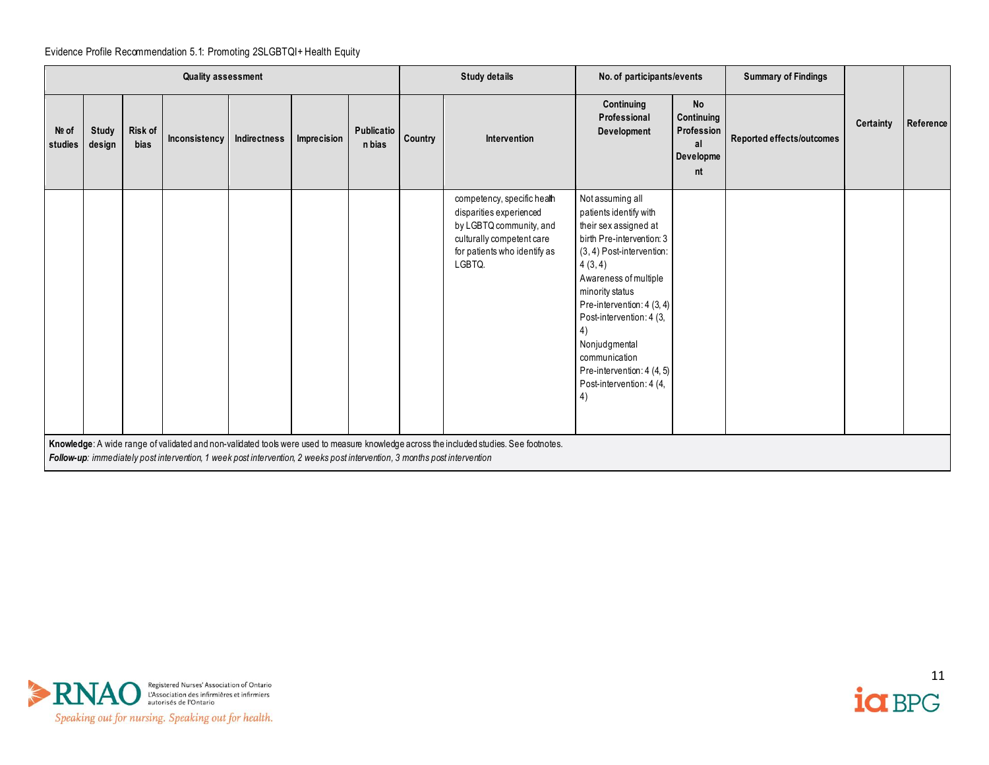|                  |                 |                 | <b>Quality assessment</b>                                                                                                 |              |             |                      |         | <b>Study details</b>                                                                                                                                     | No. of participants/events                                                                                                                                                                                                                                                                                                                             |                                                                | <b>Summary of Findings</b> |                  |           |
|------------------|-----------------|-----------------|---------------------------------------------------------------------------------------------------------------------------|--------------|-------------|----------------------|---------|----------------------------------------------------------------------------------------------------------------------------------------------------------|--------------------------------------------------------------------------------------------------------------------------------------------------------------------------------------------------------------------------------------------------------------------------------------------------------------------------------------------------------|----------------------------------------------------------------|----------------------------|------------------|-----------|
| Nº of<br>studies | Study<br>design | Risk of<br>bias | Inconsistency                                                                                                             | Indirectness | Imprecision | Publicatio<br>n bias | Country | Intervention                                                                                                                                             | Continuing<br>Professional<br>Development                                                                                                                                                                                                                                                                                                              | <b>No</b><br>Continuing<br>Profession<br>al<br>Developme<br>nt | Reported effects/outcomes  | <b>Certainty</b> | Reference |
|                  |                 |                 |                                                                                                                           |              |             |                      |         | competency, specific health<br>disparities experienced<br>by LGBTQ community, and<br>culturally competent care<br>for patients who identify as<br>LGBTQ. | Not assuming all<br>patients identify with<br>their sex assigned at<br>birth Pre-intervention: 3<br>(3, 4) Post-intervention:<br>4(3, 4)<br>Awareness of multiple<br>minority status<br>Pre-intervention: 4 (3, 4)<br>Post-intervention: 4 (3,<br>4)<br>Nonjudgmental<br>communication<br>Pre-intervention: 4 (4, 5)<br>Post-intervention: 4 (4,<br>4) |                                                                |                            |                  |           |
|                  |                 |                 | Follow-up: immediately post intervention, 1 week post intervention, 2 weeks post intervention, 3 months post intervention |              |             |                      |         | Knowledge: A wide range of validated and non-validated tools were used to measure knowledge across the included studies. See footnotes.                  |                                                                                                                                                                                                                                                                                                                                                        |                                                                |                            |                  |           |



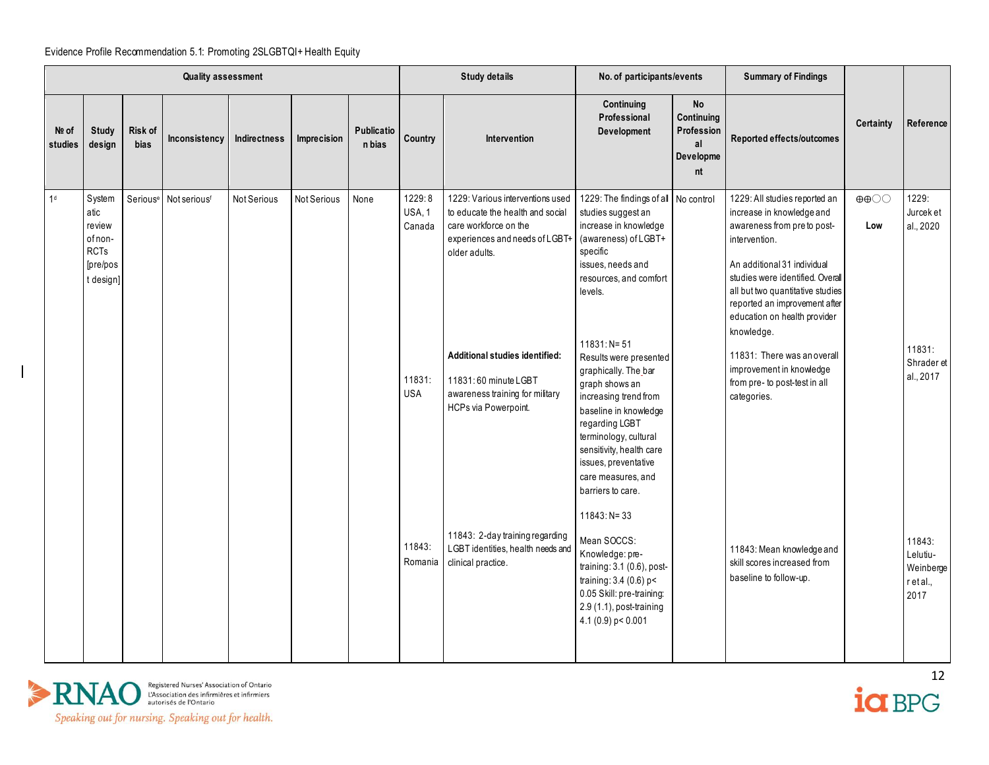|                  |                                                                             |                        | <b>Quality assessment</b>                     |              |             |                             |                                                    | <b>Study details</b>                                                                                                                                                                                                                                                                                     | No. of participants/events                                                                                                                                                                                                                                                                                                                                                                                                                                                              |                                                                | <b>Summary of Findings</b>                                                                                                                                                                                                                                                                                                                                                                                  |                                          |                                                                      |
|------------------|-----------------------------------------------------------------------------|------------------------|-----------------------------------------------|--------------|-------------|-----------------------------|----------------------------------------------------|----------------------------------------------------------------------------------------------------------------------------------------------------------------------------------------------------------------------------------------------------------------------------------------------------------|-----------------------------------------------------------------------------------------------------------------------------------------------------------------------------------------------------------------------------------------------------------------------------------------------------------------------------------------------------------------------------------------------------------------------------------------------------------------------------------------|----------------------------------------------------------------|-------------------------------------------------------------------------------------------------------------------------------------------------------------------------------------------------------------------------------------------------------------------------------------------------------------------------------------------------------------------------------------------------------------|------------------------------------------|----------------------------------------------------------------------|
| Nº of<br>studies | <b>Study</b><br>design                                                      | Risk of<br><b>bias</b> | Inconsistency                                 | Indirectness | Imprecision | <b>Publicatio</b><br>n bias | Country                                            | Intervention                                                                                                                                                                                                                                                                                             | Continuing<br>Professional<br>Development                                                                                                                                                                                                                                                                                                                                                                                                                                               | <b>No</b><br>Continuing<br>Profession<br>al<br>Developme<br>nt | Reported effects/outcomes                                                                                                                                                                                                                                                                                                                                                                                   | Certainty                                | Reference                                                            |
| 1 <sup>d</sup>   | System<br>atic<br>review<br>of non-<br><b>RCTs</b><br>[pre/pos<br>t design] |                        | Serious <sup>e</sup> Not serious <sup>f</sup> | Not Serious  | Not Serious | None                        | 1229:8<br>USA, 1<br>Canada<br>11831:<br><b>USA</b> | 1229: Various interventions used<br>to educate the health and social<br>care workforce on the<br>experiences and needs of LGBT-<br>older adults.<br>Additional studies identified:<br>11831:60 minute LGBT<br>awareness training for military<br>HCPs via Powerpoint.<br>11843: 2-day training regarding | 1229: The findings of all No control<br>studies suggest an<br>increase in knowledge<br>(awareness) of LGBT+<br>specific<br>issues, needs and<br>resources, and comfort<br>levels.<br>$11831: N = 51$<br>Results were presented<br>graphically. The bar<br>graph shows an<br>increasing trend from<br>baseline in knowledge<br>regarding LGBT<br>terminology, cultural<br>sensitivity, health care<br>issues, preventative<br>care measures, and<br>barriers to care.<br>$11843: N = 33$ |                                                                | 1229: All studies reported an<br>increase in knowledge and<br>awareness from pre to post-<br>intervention.<br>An additional 31 individual<br>studies were identified. Overall<br>all but two quantitative studies<br>reported an improvement after<br>education on health provider<br>knowledge.<br>11831: There was an overall<br>improvement in knowledge<br>from pre- to post-test in all<br>categories. | $\oplus \oplus \bigcirc \bigcirc$<br>Low | 1229:<br>Jurcek et<br>al., 2020<br>11831:<br>Shrader et<br>al., 2017 |
|                  |                                                                             |                        |                                               |              |             |                             | 11843:<br>Romania                                  | LGBT identities, health needs and<br>clinical practice.                                                                                                                                                                                                                                                  | Mean SOCCS:<br>Knowledge: pre-<br>training: 3.1 (0.6), post-<br>training: 3.4 (0.6) p<<br>0.05 Skill: pre-training:<br>2.9 (1.1), post-training<br>4.1 (0.9) $p < 0.001$                                                                                                                                                                                                                                                                                                                |                                                                | 11843: Mean knowledge and<br>skill scores increased from<br>baseline to follow-up.                                                                                                                                                                                                                                                                                                                          |                                          | 11843:<br>Lelutiu-<br>Weinberge<br>r et al.,<br>2017                 |



 $\mathbf l$ 

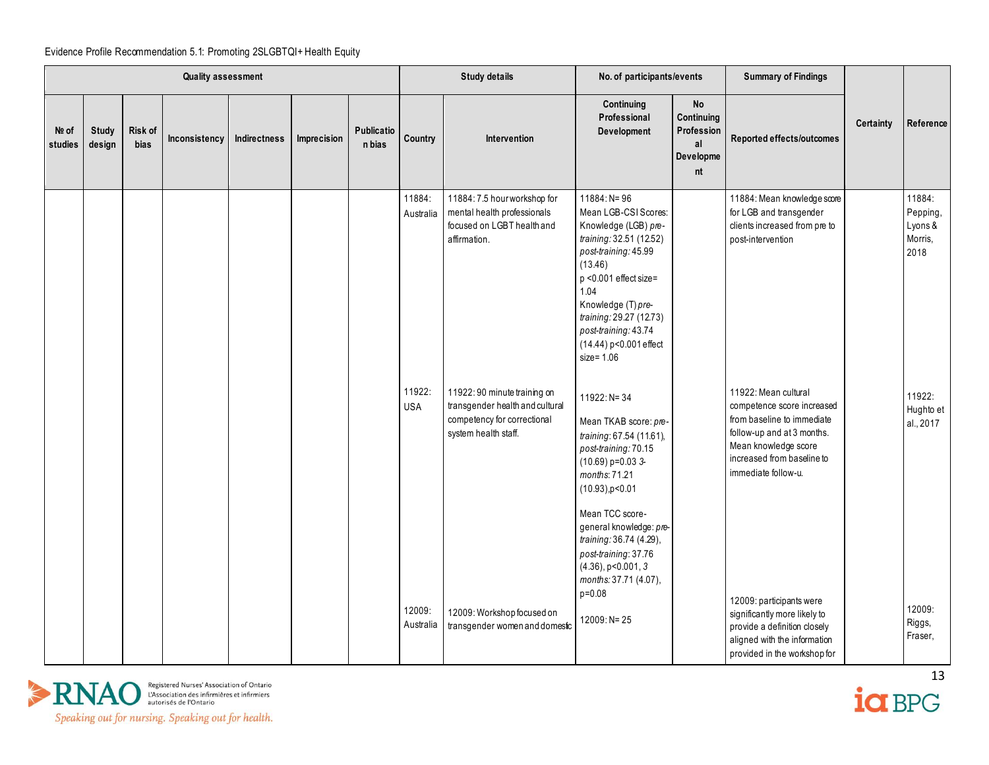|                    |                 |                               | <b>Quality assessment</b> |              |             |                      |                      | <b>Study details</b>                                                                                                   | No. of participants/events                                                                                                                                                                                                                                                                                   |                                                                | <b>Summary of Findings</b>                                                                                                                                                                  |           |                                                  |
|--------------------|-----------------|-------------------------------|---------------------------|--------------|-------------|----------------------|----------------------|------------------------------------------------------------------------------------------------------------------------|--------------------------------------------------------------------------------------------------------------------------------------------------------------------------------------------------------------------------------------------------------------------------------------------------------------|----------------------------------------------------------------|---------------------------------------------------------------------------------------------------------------------------------------------------------------------------------------------|-----------|--------------------------------------------------|
| $Ne$ of<br>studies | Study<br>design | <b>Risk of</b><br><b>bias</b> | Inconsistency             | Indirectness | Imprecision | Publicatio<br>n bias | Country              | Intervention                                                                                                           | Continuing<br>Professional<br>Development                                                                                                                                                                                                                                                                    | <b>No</b><br>Continuing<br>Profession<br>al<br>Developme<br>nt | Reported effects/outcomes                                                                                                                                                                   | Certainty | Reference                                        |
|                    |                 |                               |                           |              |             |                      | 11884:<br>Australia  | 11884: 7.5 hour workshop for<br>mental health professionals<br>focused on LGBT health and<br>affirmation.              | $11884: N = 96$<br>Mean LGB-CSI Scores:<br>Knowledge (LGB) pre-<br>training: 32.51 (12.52)<br>post-training: 45.99<br>(13.46)<br>p <0.001 effect size=<br>1.04<br>Knowledge (T) pre-<br>training: 29.27 (12.73)<br>post-training: 43.74<br>(14.44) p<0.001 effect<br>size= 1.06                              |                                                                | 11884: Mean knowledge score<br>for LGB and transgender<br>clients increased from pre to<br>post-intervention                                                                                |           | 11884:<br>Pepping,<br>Lyons &<br>Morris,<br>2018 |
|                    |                 |                               |                           |              |             |                      | 11922:<br><b>USA</b> | 11922: 90 minute training on<br>transgender health and cultural<br>competency for correctional<br>system health staff. | 11922: N= 34<br>Mean TKAB score: pre-<br>training: 67.54 (11.61),<br>post-training: 70.15<br>$(10.69)$ p=0.03 3-<br>months: 71.21<br>$(10.93)$ , p < 0.01<br>Mean TCC score-<br>general knowledge: pre-<br>training: 36.74 (4.29),<br>post-training: 37.76<br>$(4.36)$ , p<0.001, 3<br>months: 37.71 (4.07), |                                                                | 11922: Mean cultural<br>competence score increased<br>from baseline to immediate<br>follow-up and at 3 months.<br>Mean knowledge score<br>increased from baseline to<br>immediate follow-u. |           | 11922:<br>Hughto et<br>al., 2017                 |
|                    |                 |                               |                           |              |             |                      | 12009:<br>Australia  | 12009: Workshop focused on<br>transgender women and domestic                                                           | $p = 0.08$<br>12009: N= 25                                                                                                                                                                                                                                                                                   |                                                                | 12009: participants were<br>significantly more likely to<br>provide a definition closely<br>aligned with the information<br>provided in the workshop for                                    |           | 12009:<br>Riggs,<br>Fraser,                      |



 $\frac{13}{10}$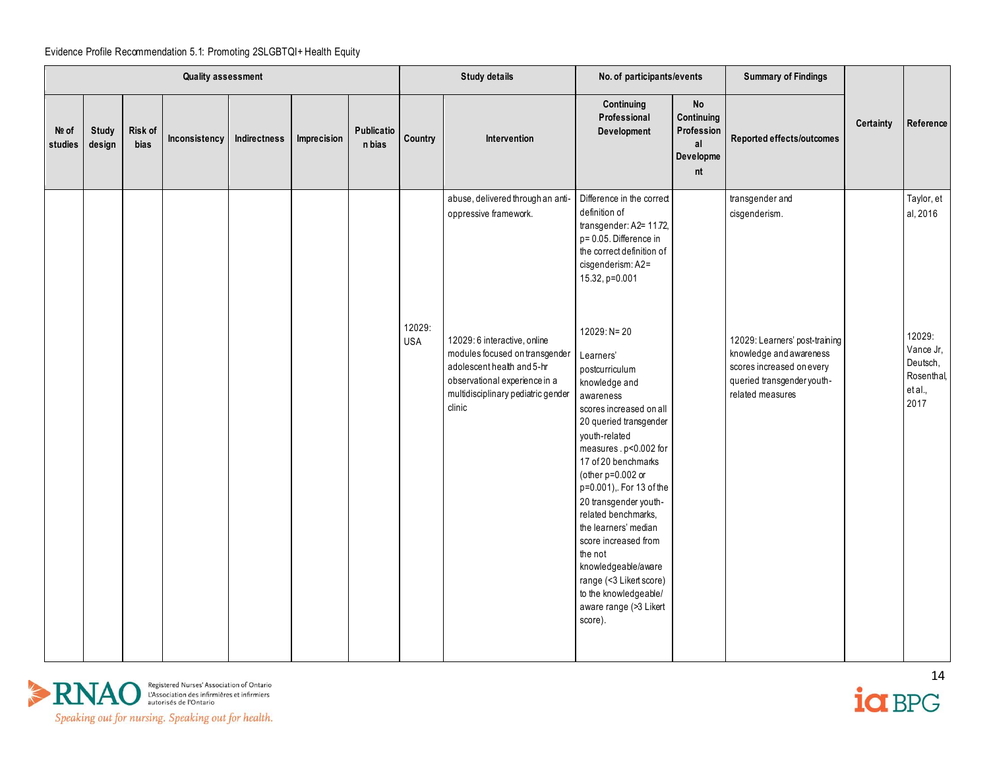|                  |                        |                 | <b>Quality assessment</b> |              |             |                      |                      | <b>Study details</b>                                                                                                                                                          | No. of participants/events                                                                                                                                                                                                                                                                                                                                                                                                                                                        |                                                                | <b>Summary of Findings</b>                                                                                                               |                  |                                                                  |
|------------------|------------------------|-----------------|---------------------------|--------------|-------------|----------------------|----------------------|-------------------------------------------------------------------------------------------------------------------------------------------------------------------------------|-----------------------------------------------------------------------------------------------------------------------------------------------------------------------------------------------------------------------------------------------------------------------------------------------------------------------------------------------------------------------------------------------------------------------------------------------------------------------------------|----------------------------------------------------------------|------------------------------------------------------------------------------------------------------------------------------------------|------------------|------------------------------------------------------------------|
| No of<br>studies | <b>Study</b><br>design | Risk of<br>bias | Inconsistency             | Indirectness | Imprecision | Publicatio<br>n bias | Country              | Intervention                                                                                                                                                                  | Continuing<br>Professional<br>Development                                                                                                                                                                                                                                                                                                                                                                                                                                         | <b>No</b><br>Continuing<br>Profession<br>al<br>Developme<br>nt | Reported effects/outcomes                                                                                                                | <b>Certainty</b> | Reference                                                        |
|                  |                        |                 |                           |              |             |                      |                      | abuse, delivered through an anti-<br>oppressive framework.                                                                                                                    | Difference in the correct<br>definition of<br>transgender: A2= 11.72,<br>p= 0.05. Difference in<br>the correct definition of<br>cisgenderism: A2=<br>15.32, p=0.001                                                                                                                                                                                                                                                                                                               |                                                                | transgender and<br>cisgenderism.                                                                                                         |                  | Taylor, et<br>al, 2016                                           |
|                  |                        |                 |                           |              |             |                      | 12029:<br><b>USA</b> | 12029: 6 interactive, online<br>modules focused on transgender<br>adolescent health and 5-hr<br>observational experience in a<br>multidisciplinary pediatric gender<br>clinic | $12029: N = 20$<br>Learners'<br>postcurriculum<br>knowledge and<br>awareness<br>scores increased on all<br>20 queried transgender<br>youth-related<br>measures . p<0.002 for<br>17 of 20 benchmarks<br>(other $p=0.002$ or<br>p=0.001),. For 13 of the<br>20 transgender youth-<br>related benchmarks,<br>the learners' median<br>score increased from<br>the not<br>knowledgeable/aware<br>range (<3 Likert score)<br>to the knowledgeable/<br>aware range (>3 Likert<br>score). |                                                                | 12029: Learners' post-training<br>knowledge and awareness<br>scores increased on every<br>queried transgender youth-<br>related measures |                  | 12029:<br>Vance Jr,<br>Deutsch,<br>Rosenthal,<br>et al.,<br>2017 |



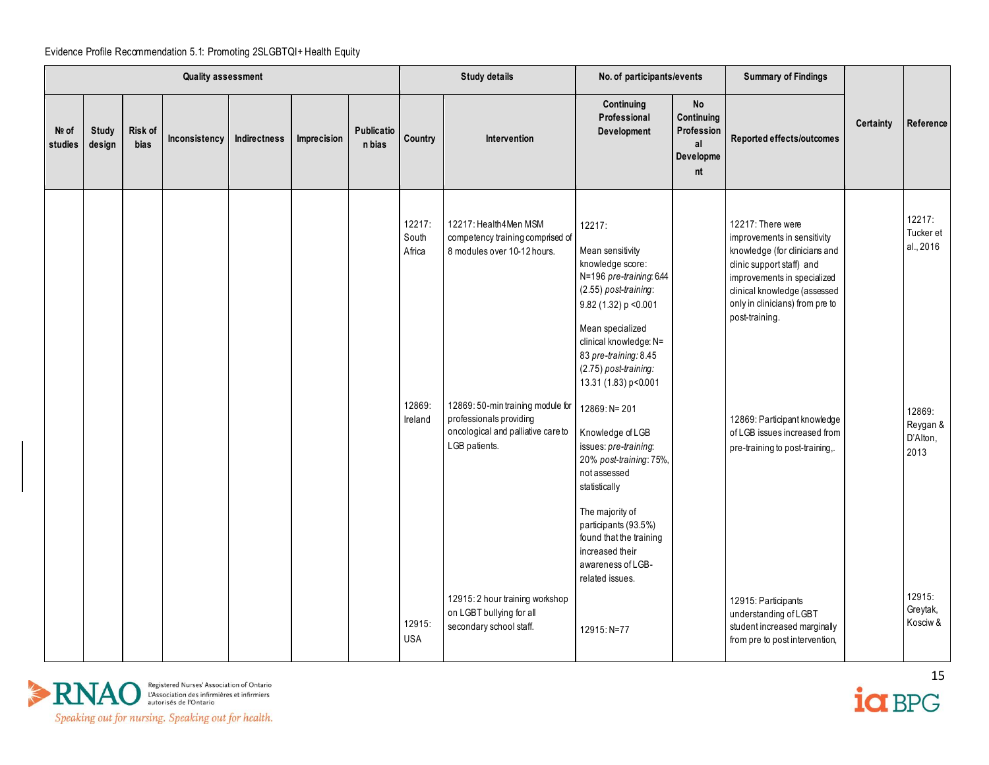|                    |                        |                        | <b>Quality assessment</b> |              |             |                             |                                                | <b>Study details</b>                                                                                                                                                                                            | No. of participants/events                                                                                                                                                                                                                                                                                                                                                                                                                           |                                                                | <b>Summary of Findings</b>                                                                                                                                                                                                                                                                                                            |                  |                                                                            |
|--------------------|------------------------|------------------------|---------------------------|--------------|-------------|-----------------------------|------------------------------------------------|-----------------------------------------------------------------------------------------------------------------------------------------------------------------------------------------------------------------|------------------------------------------------------------------------------------------------------------------------------------------------------------------------------------------------------------------------------------------------------------------------------------------------------------------------------------------------------------------------------------------------------------------------------------------------------|----------------------------------------------------------------|---------------------------------------------------------------------------------------------------------------------------------------------------------------------------------------------------------------------------------------------------------------------------------------------------------------------------------------|------------------|----------------------------------------------------------------------------|
| $Ne$ of<br>studies | <b>Study</b><br>design | Risk of<br><b>bias</b> | Inconsistency             | Indirectness | Imprecision | <b>Publicatio</b><br>n bias | Country                                        | Intervention                                                                                                                                                                                                    | Continuing<br>Professional<br>Development                                                                                                                                                                                                                                                                                                                                                                                                            | <b>No</b><br>Continuing<br>Profession<br>al<br>Developme<br>nt | Reported effects/outcomes                                                                                                                                                                                                                                                                                                             | <b>Certainty</b> | Reference                                                                  |
|                    |                        |                        |                           |              |             |                             | 12217:<br>South<br>Africa<br>12869:<br>Ireland | 12217: Health4Men MSM<br>competency training comprised of<br>8 modules over 10-12 hours.<br>12869: 50-min training module for<br>professionals providing<br>oncological and palliative care to<br>LGB patients. | 12217:<br>Mean sensitivity<br>knowledge score:<br>N=196 pre-training: 6.44<br>(2.55) post-training:<br>9.82 (1.32) p < 0.001<br>Mean specialized<br>clinical knowledge: N=<br>83 pre-training: 8.45<br>(2.75) post-training:<br>13.31 (1.83) p<0.001<br>12869: N= 201<br>Knowledge of LGB<br>issues: pre-training:<br>20% post-training: 75%,<br>not assessed<br>statistically<br>The majority of<br>participants (93.5%)<br>found that the training |                                                                | 12217: There were<br>improvements in sensitivity<br>knowledge (for clinicians and<br>clinic support staff) and<br>improvements in specialized<br>clinical knowledge (assessed<br>only in clinicians) from pre to<br>post-training.<br>12869: Participant knowledge<br>of LGB issues increased from<br>pre-training to post-training,. |                  | 12217:<br>Tucker et<br>al., 2016<br>12869:<br>Reygan &<br>D'Alton,<br>2013 |
|                    |                        |                        |                           |              |             |                             | 12915:<br><b>USA</b>                           | 12915: 2 hour training workshop<br>on LGBT bullying for all<br>secondary school staff.                                                                                                                          | increased their<br>awareness of LGB-<br>related issues.<br>12915: N=77                                                                                                                                                                                                                                                                                                                                                                               |                                                                | 12915: Participants<br>understanding of LGBT<br>student increased marginally<br>from pre to post intervention,                                                                                                                                                                                                                        |                  | 12915:<br>Greytak,<br>Kosciw &                                             |

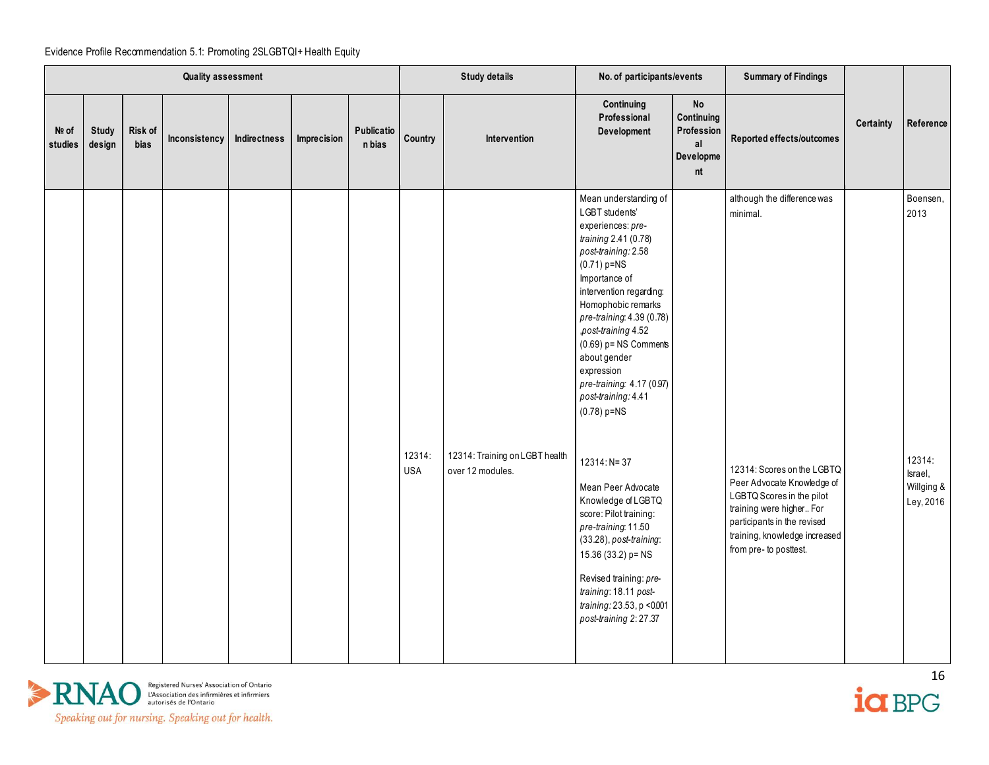|                  |                        |                 | <b>Quality assessment</b> |              |             |                      |                      | <b>Study details</b>                               | No. of participants/events                                                                                                                                                                                                                                                                                                                                                                                                                                                                                                                                                                                                                                  |                                                         | <b>Summary of Findings</b>                                                                                                                                                                                                                             |           |                                                                  |
|------------------|------------------------|-----------------|---------------------------|--------------|-------------|----------------------|----------------------|----------------------------------------------------|-------------------------------------------------------------------------------------------------------------------------------------------------------------------------------------------------------------------------------------------------------------------------------------------------------------------------------------------------------------------------------------------------------------------------------------------------------------------------------------------------------------------------------------------------------------------------------------------------------------------------------------------------------------|---------------------------------------------------------|--------------------------------------------------------------------------------------------------------------------------------------------------------------------------------------------------------------------------------------------------------|-----------|------------------------------------------------------------------|
| Nº of<br>studies | <b>Study</b><br>design | Risk of<br>bias | Inconsistency             | Indirectness | Imprecision | Publicatio<br>n bias | Country              | Intervention                                       | Continuing<br>Professional<br>Development                                                                                                                                                                                                                                                                                                                                                                                                                                                                                                                                                                                                                   | No<br>Continuing<br>Profession<br>al<br>Developme<br>nt | Reported effects/outcomes                                                                                                                                                                                                                              | Certainty | Reference                                                        |
|                  |                        |                 |                           |              |             |                      | 12314:<br><b>USA</b> | 12314: Training on LGBT health<br>over 12 modules. | Mean understanding of<br>LGBT students'<br>experiences: pre-<br>training 2.41 (0.78)<br>post-training: 2.58<br>$(0.71)$ p=NS<br>Importance of<br>intervention regarding:<br>Homophobic remarks<br>pre-training: 4.39 (0.78)<br>post-training 4.52<br>$(0.69)$ p= NS Comments<br>about gender<br>expression<br>pre-training: 4.17 (0.97)<br>post-training: 4.41<br>$(0.78) p = NS$<br>12314: N= 37<br>Mean Peer Advocate<br>Knowledge of LGBTQ<br>score: Pilot training:<br>pre-training: 11.50<br>$(33.28)$ , post-training:<br>15.36 (33.2) p= NS<br>Revised training: pre-<br>training: 18.11 post-<br>training: 23.53, p <0.001<br>post-training 2:27.37 |                                                         | although the difference was<br>minimal.<br>12314: Scores on the LGBTQ<br>Peer Advocate Knowledge of<br>LGBTQ Scores in the pilot<br>training were higher For<br>participants in the revised<br>training, knowledge increased<br>from pre- to posttest. |           | Boensen,<br>2013<br>12314:<br>Israel,<br>Willging &<br>Ley, 2016 |

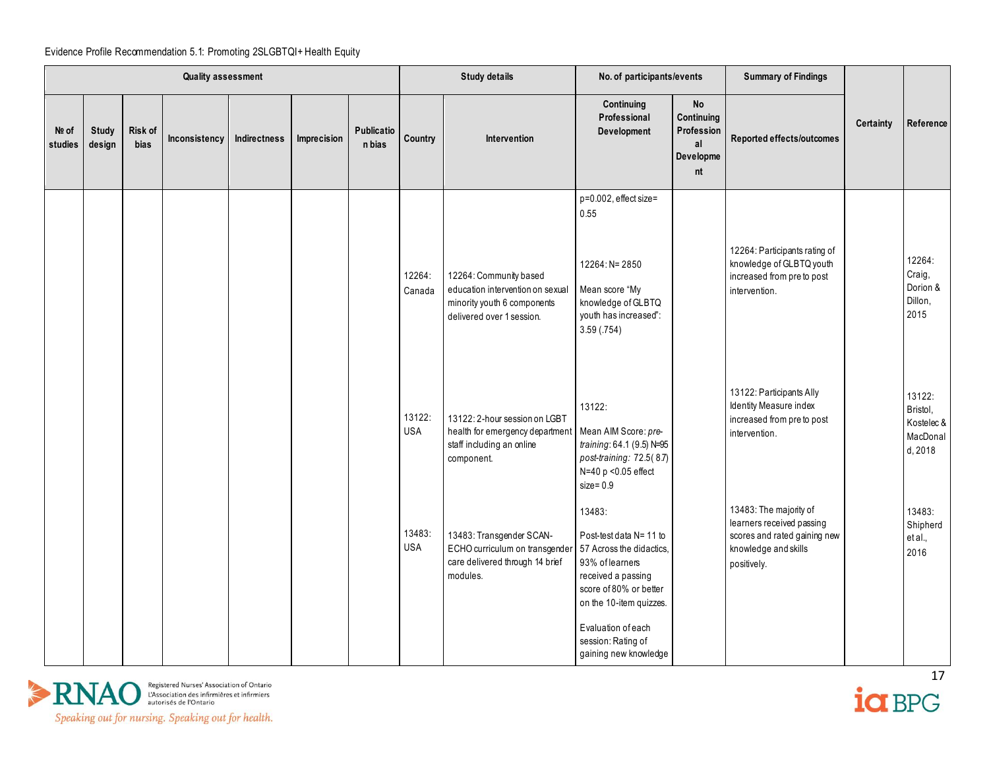|                  |                        |                        | <b>Quality assessment</b> |              |             |                      |                      | <b>Study details</b>                                                                                                   | No. of participants/events                                                                                                                                                                                                       |                                                                | <b>Summary of Findings</b>                                                                                                 |                  |                                                         |
|------------------|------------------------|------------------------|---------------------------|--------------|-------------|----------------------|----------------------|------------------------------------------------------------------------------------------------------------------------|----------------------------------------------------------------------------------------------------------------------------------------------------------------------------------------------------------------------------------|----------------------------------------------------------------|----------------------------------------------------------------------------------------------------------------------------|------------------|---------------------------------------------------------|
| Nº of<br>studies | <b>Study</b><br>design | Risk of<br><b>bias</b> | Inconsistency             | Indirectness | Imprecision | Publicatio<br>n bias | Country              | Intervention                                                                                                           | Continuing<br>Professional<br>Development                                                                                                                                                                                        | <b>No</b><br>Continuing<br>Profession<br>al<br>Developme<br>nt | Reported effects/outcomes                                                                                                  | <b>Certainty</b> | Reference                                               |
|                  |                        |                        |                           |              |             |                      | 12264:<br>Canada     | 12264: Community based<br>education intervention on sexual<br>minority youth 6 components<br>delivered over 1 session. | p=0.002, effect size=<br>0.55<br>12264: N= 2850<br>Mean score "My<br>knowledge of GLBTQ<br>youth has increased":<br>3.59(.754)                                                                                                   |                                                                | 12264: Participants rating of<br>knowledge of GLBTQ youth<br>increased from pre to post<br>intervention.                   |                  | 12264:<br>Craig,<br>Dorion &<br>Dillon,<br>2015         |
|                  |                        |                        |                           |              |             |                      | 13122:<br><b>USA</b> | 13122: 2-hour session on LGBT<br>health for emergency department<br>staff including an online<br>component.            | 13122:<br>Mean AIM Score: pre-<br>training: 64.1 (9.5) N=95<br>post-training: 72.5(8.7)<br>N=40 p <0.05 effect<br>$size = 0.9$                                                                                                   |                                                                | 13122: Participants Ally<br>Identity Measure index<br>increased from pre to post<br>intervention.                          |                  | 13122:<br>Bristol,<br>Kostelec &<br>MacDonal<br>d, 2018 |
|                  |                        |                        |                           |              |             |                      | 13483:<br><b>USA</b> | 13483: Transgender SCAN-<br>ECHO curriculum on transgende<br>care delivered through 14 brief<br>modules.               | 13483:<br>Post-test data N= 11 to<br>57 Across the didactics,<br>93% of learners<br>received a passing<br>score of 80% or better<br>on the 10-item quizzes.<br>Evaluation of each<br>session: Rating of<br>gaining new knowledge |                                                                | 13483: The majority of<br>learners received passing<br>scores and rated gaining new<br>knowledge and skills<br>positively. |                  | 13483:<br>Shipherd<br>et al.,<br>2016                   |



 $\frac{17}{10}$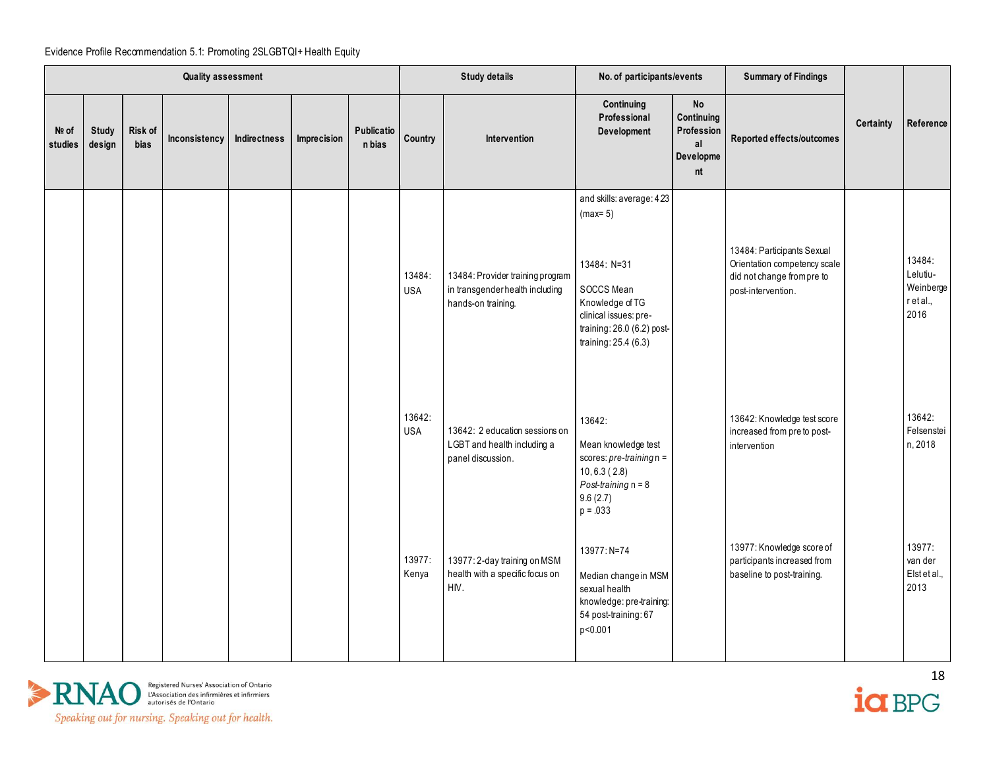|                  |                        |                 | <b>Quality assessment</b> |              |             |                      |                      | <b>Study details</b>                                                                      | No. of participants/events                                                                                                                                           |                                                                | <b>Summary of Findings</b>                                                                                     |                  |                                                      |
|------------------|------------------------|-----------------|---------------------------|--------------|-------------|----------------------|----------------------|-------------------------------------------------------------------------------------------|----------------------------------------------------------------------------------------------------------------------------------------------------------------------|----------------------------------------------------------------|----------------------------------------------------------------------------------------------------------------|------------------|------------------------------------------------------|
| Nº of<br>studies | <b>Study</b><br>design | Risk of<br>bias | Inconsistency             | Indirectness | Imprecision | Publicatio<br>n bias | Country              | Intervention                                                                              | Continuing<br>Professional<br>Development                                                                                                                            | <b>No</b><br>Continuing<br>Profession<br>al<br>Developme<br>nt | Reported effects/outcomes                                                                                      | <b>Certainty</b> | Reference                                            |
|                  |                        |                 |                           |              |             |                      | 13484:<br><b>USA</b> | 13484: Provider training program<br>in transgender health including<br>hands-on training. | and skills: average: 423<br>$(max=5)$<br>13484: N=31<br>SOCCS Mean<br>Knowledge of TG<br>clinical issues: pre-<br>training: 26.0 (6.2) post-<br>training: 25.4 (6.3) |                                                                | 13484: Participants Sexual<br>Orientation competency scale<br>did not change from pre to<br>post-intervention. |                  | 13484:<br>Lelutiu-<br>Weinberge<br>r et al.,<br>2016 |
|                  |                        |                 |                           |              |             |                      | 13642:<br><b>USA</b> | 13642: 2 education sessions on<br>LGBT and health including a<br>panel discussion.        | 13642:<br>Mean knowledge test<br>scores: $pre-training n =$<br>10, 6.3(2.8)<br>Post-training $n = 8$<br>9.6(2.7)<br>$p = .033$                                       |                                                                | 13642: Knowledge test score<br>increased from preto post-<br>intervention                                      |                  | 13642:<br>Felsenstei<br>n, 2018                      |
|                  |                        |                 |                           |              |             |                      | 13977:<br>Kenya      | 13977: 2-day training on MSM<br>health with a specific focus on<br>HIV.                   | 13977: N=74<br>Median change in MSM<br>sexual health<br>knowledge: pre-training:<br>54 post-training: 67<br>p<0.001                                                  |                                                                | 13977: Knowledge score of<br>participants increased from<br>baseline to post-training.                         |                  | 13977:<br>van der<br>Elst et al.,<br>2013            |



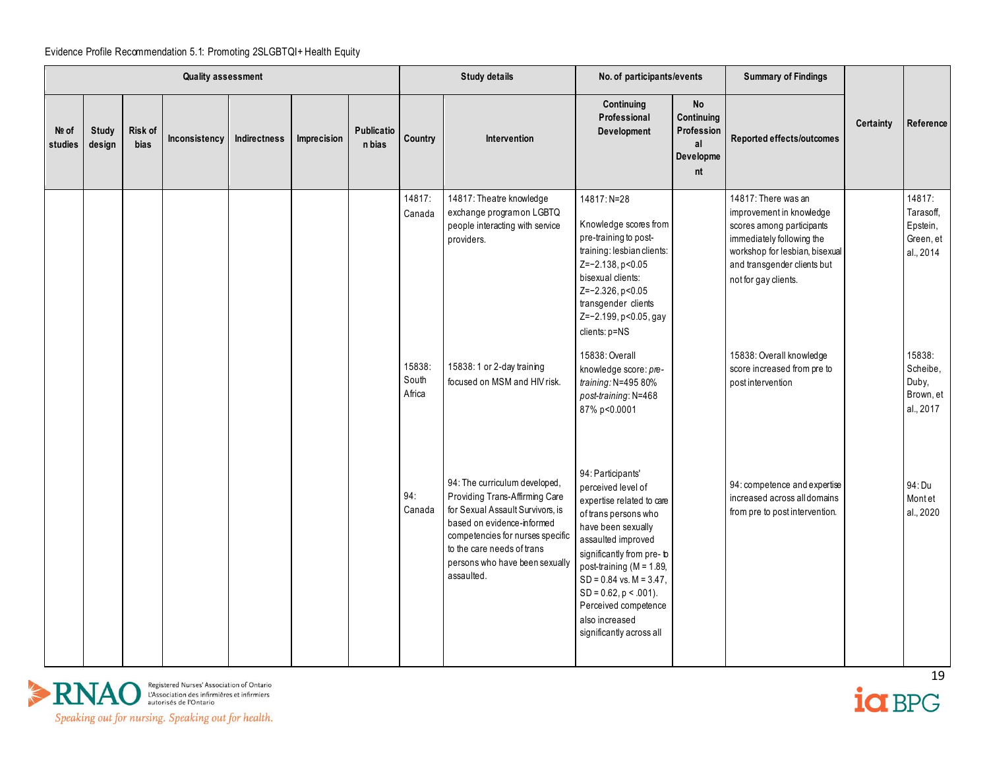|                  |                        |                 | <b>Quality assessment</b> |              |             |                             |                           | <b>Study details</b>                                                                                                                                                                                                                                | No. of participants/events                                                                                                                                                                                                                                                                                                                |                                                         | <b>Summary of Findings</b>                                                                                                                                                                         |           |                                                           |
|------------------|------------------------|-----------------|---------------------------|--------------|-------------|-----------------------------|---------------------------|-----------------------------------------------------------------------------------------------------------------------------------------------------------------------------------------------------------------------------------------------------|-------------------------------------------------------------------------------------------------------------------------------------------------------------------------------------------------------------------------------------------------------------------------------------------------------------------------------------------|---------------------------------------------------------|----------------------------------------------------------------------------------------------------------------------------------------------------------------------------------------------------|-----------|-----------------------------------------------------------|
| Nº of<br>studies | <b>Study</b><br>design | Risk of<br>bias | Inconsistency             | Indirectness | Imprecision | <b>Publicatio</b><br>n bias | Country                   | Intervention                                                                                                                                                                                                                                        | Continuing<br>Professional<br>Development                                                                                                                                                                                                                                                                                                 | No<br>Continuing<br>Profession<br>al<br>Developme<br>nt | Reported effects/outcomes                                                                                                                                                                          | Certainty | Reference                                                 |
|                  |                        |                 |                           |              |             |                             | 14817:<br>Canada          | 14817: Theatre knowledge<br>exchange programon LGBTQ<br>people interacting with service<br>providers.                                                                                                                                               | 14817: N=28<br>Knowledge scores from<br>pre-training to post-<br>training: lesbian clients:<br>Z=-2.138, p<0.05<br>bisexual clients:<br>$Z=-2.326, p<0.05$<br>transgender clients<br>Z=-2.199, p<0.05, gay<br>clients: p=NS                                                                                                               |                                                         | 14817: There was an<br>improvement in knowledge<br>scores among participants<br>immediately following the<br>workshop for lesbian, bisexual<br>and transgender clients but<br>not for gay clients. |           | 14817:<br>Tarasoff,<br>Epstein,<br>Green, et<br>al., 2014 |
|                  |                        |                 |                           |              |             |                             | 15838:<br>South<br>Africa | 15838: 1 or 2-day training<br>focused on MSM and HIV risk.                                                                                                                                                                                          | 15838: Overall<br>knowledge score: pre-<br>training: N=495 80%<br>post-training: N=468<br>87% p<0.0001                                                                                                                                                                                                                                    |                                                         | 15838: Overall knowledge<br>score increased from pre to<br>post intervention                                                                                                                       |           | 15838:<br>Scheibe,<br>Duby,<br>Brown, et<br>al., 2017     |
|                  |                        |                 |                           |              |             |                             | 94:<br>Canada             | 94: The curriculum developed,<br>Providing Trans-Affirming Care<br>for Sexual Assault Survivors, is<br>based on evidence-informed<br>competencies for nurses specific<br>to the care needs of trans<br>persons who have been sexually<br>assaulted. | 94: Participants'<br>perceived level of<br>expertise related to care<br>of trans persons who<br>have been sexually<br>assaulted improved<br>significantly from pre-b<br>post-training ( $M = 1.89$ ,<br>$SD = 0.84$ vs. $M = 3.47$ ,<br>$SD = 0.62$ , $p < .001$ ).<br>Perceived competence<br>also increased<br>significantly across all |                                                         | 94: competence and expertise<br>increased across all domains<br>from pre to post intervention.                                                                                                     |           | 94: Du<br>Montet<br>al., 2020                             |



 $\frac{19}{19}$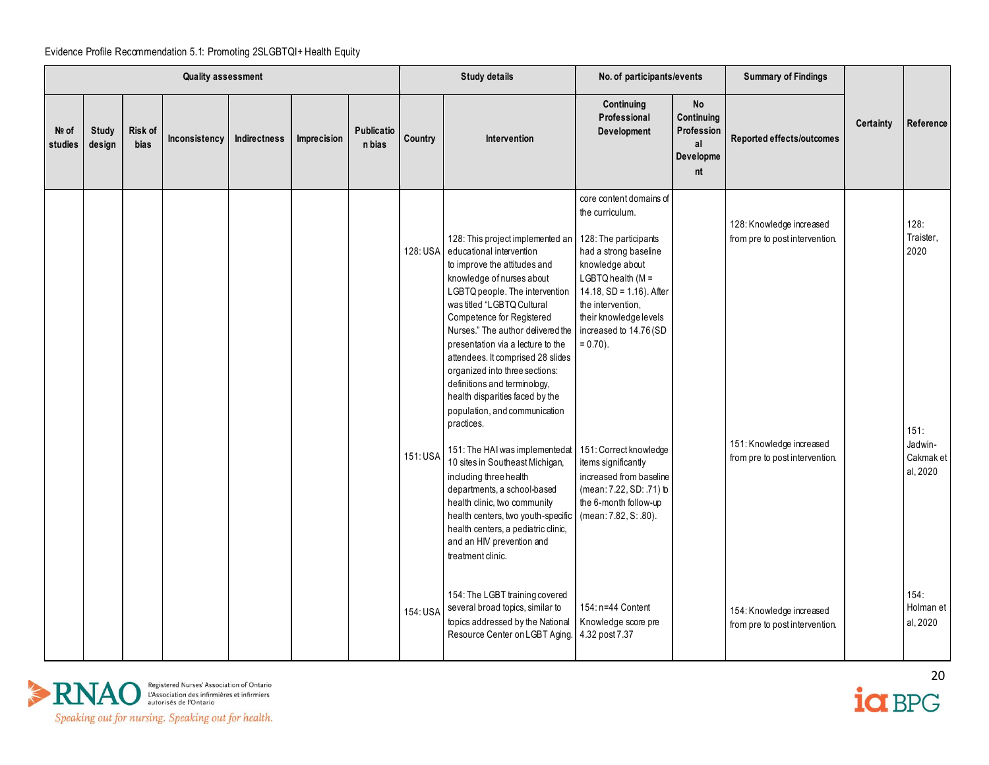|                  |                        |                        | <b>Quality assessment</b> |              |             |                             |          | <b>Study details</b>                                                                                                                                                                                                                                                                                                                                                                                                                                                                                                                                                    | No. of participants/events                                                                                                                                                                                                                                                                                     |                                                                | <b>Summary of Findings</b>                                                                                               |           |                                                                       |
|------------------|------------------------|------------------------|---------------------------|--------------|-------------|-----------------------------|----------|-------------------------------------------------------------------------------------------------------------------------------------------------------------------------------------------------------------------------------------------------------------------------------------------------------------------------------------------------------------------------------------------------------------------------------------------------------------------------------------------------------------------------------------------------------------------------|----------------------------------------------------------------------------------------------------------------------------------------------------------------------------------------------------------------------------------------------------------------------------------------------------------------|----------------------------------------------------------------|--------------------------------------------------------------------------------------------------------------------------|-----------|-----------------------------------------------------------------------|
| Nº of<br>studies | <b>Study</b><br>design | Risk of<br><b>bias</b> | Inconsistency             | Indirectness | Imprecision | <b>Publicatio</b><br>n bias | Country  | Intervention                                                                                                                                                                                                                                                                                                                                                                                                                                                                                                                                                            | Continuing<br>Professional<br>Development                                                                                                                                                                                                                                                                      | <b>No</b><br>Continuing<br>Profession<br>al<br>Developme<br>nt | Reported effects/outcomes                                                                                                | Certainty | Reference                                                             |
|                  |                        |                        |                           |              |             |                             | 151: USA | 128: This project implemented an<br>128: USA educational intervention<br>to improve the attitudes and<br>knowledge of nurses about<br>LGBTQ people. The intervention<br>was titled "LGBTQ Cultural<br>Competence for Registered<br>Nurses." The author delivered the<br>presentation via a lecture to the<br>attendees. It comprised 28 slides<br>organized into three sections:<br>definitions and terminology,<br>health disparities faced by the<br>population, and communication<br>practices.<br>151: The HAI was implementedat<br>10 sites in Southeast Michigan, | core content domains of<br>the curriculum.<br>128: The participants<br>had a strong baseline<br>knowledge about<br>$LGBTQ$ health ( $M =$<br>14.18, SD = 1.16). After<br>the intervention.<br>their knowledge levels<br>increased to 14.76 (SD<br>$= 0.70$ ).<br>151: Correct knowledge<br>items significantly |                                                                | 128: Knowledge increased<br>from pre to post intervention.<br>151: Knowledge increased<br>from pre to post intervention. |           | 128:<br>Traister,<br>2020<br>151:<br>Jadwin-<br>Cakmak et<br>al, 2020 |
|                  |                        |                        |                           |              |             |                             | 154: USA | including three health<br>departments, a school-based<br>health clinic, two community<br>health centers, two youth-specific<br>health centers, a pediatric clinic,<br>and an HIV prevention and<br>treatment clinic.<br>154: The LGBT training covered<br>several broad topics, similar to<br>topics addressed by the National<br>Resource Center on LGBT Aging.                                                                                                                                                                                                        | increased from baseline<br>(mean: 7.22, SD: .71) b<br>the 6-month follow-up<br>(mean: 7.82, S: .80).<br>154: n=44 Content<br>Knowledge score pre<br>4.32 post 7.37                                                                                                                                             |                                                                | 154: Knowledge increased<br>from pre to post intervention.                                                               |           | 154.<br>Holman et<br>al, 2020                                         |



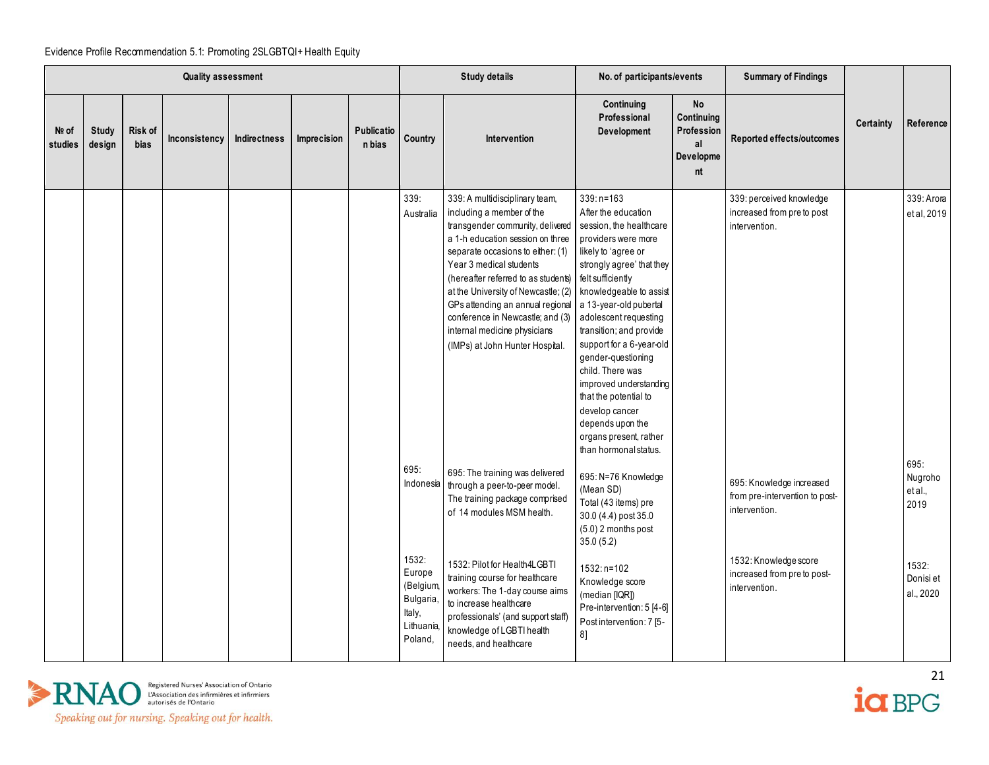|                  |                        |                 | <b>Quality assessment</b> |              |             |                      |                                                                              | <b>Study details</b>                                                                                                                                                                                                                                                                                                                                                                                                                           | No. of participants/events                                                                                                                                                                                                                                                                                                                                                                                                                                             |                                                                | <b>Summary of Findings</b>                                                  |           |                                   |
|------------------|------------------------|-----------------|---------------------------|--------------|-------------|----------------------|------------------------------------------------------------------------------|------------------------------------------------------------------------------------------------------------------------------------------------------------------------------------------------------------------------------------------------------------------------------------------------------------------------------------------------------------------------------------------------------------------------------------------------|------------------------------------------------------------------------------------------------------------------------------------------------------------------------------------------------------------------------------------------------------------------------------------------------------------------------------------------------------------------------------------------------------------------------------------------------------------------------|----------------------------------------------------------------|-----------------------------------------------------------------------------|-----------|-----------------------------------|
| Nº of<br>studies | <b>Study</b><br>design | Risk of<br>bias | Inconsistency             | Indirectness | Imprecision | Publicatio<br>n bias | Country                                                                      | Intervention                                                                                                                                                                                                                                                                                                                                                                                                                                   | Continuing<br>Professional<br>Development                                                                                                                                                                                                                                                                                                                                                                                                                              | <b>No</b><br>Continuing<br>Profession<br>al<br>Developme<br>nt | Reported effects/outcomes                                                   | Certainty | Reference                         |
|                  |                        |                 |                           |              |             |                      | 339.<br>Australia                                                            | 339: A multidisciplinary team,<br>including a member of the<br>transgender community, delivered<br>a 1-h education session on three<br>separate occasions to either: (1)<br>Year 3 medical students<br>(hereafter referred to as students) felt sufficiently<br>at the University of Newcastle; (2)<br>GPs attending an annual regional<br>conference in Newcastle; and (3)<br>internal medicine physicians<br>(IMPs) at John Hunter Hospital. | $339: n = 163$<br>After the education<br>session, the healthcare<br>providers were more<br>likely to 'agree or<br>strongly agree' that they<br>knowledgeable to assist<br>a 13-year-old pubertal<br>adolescent requesting<br>transition; and provide<br>support for a 6-year-old<br>gender-questioning<br>child. There was<br>improved understanding<br>that the potential to<br>develop cancer<br>depends upon the<br>organs present, rather<br>than hormonal status. |                                                                | 339: perceived knowledge<br>increased from preto post<br>intervention.      |           | 339: Arora<br>et al, 2019<br>695: |
|                  |                        |                 |                           |              |             |                      | 695:<br>Indonesia                                                            | 695: The training was delivered<br>through a peer-to-peer model.<br>The training package comprised<br>of 14 modules MSM health.                                                                                                                                                                                                                                                                                                                | 695: N=76 Knowledge<br>(Mean SD)<br>Total (43 items) pre<br>30.0 (4.4) post 35.0<br>(5.0) 2 months post<br>35.0(5.2)                                                                                                                                                                                                                                                                                                                                                   |                                                                | 695: Knowledge increased<br>from pre-intervention to post-<br>intervention. |           | Nugroho<br>et al.,<br>2019        |
|                  |                        |                 |                           |              |             |                      | 1532:<br>Europe<br>(Belgium,<br>Bulgaria,<br>Italy,<br>Lithuania,<br>Poland, | 1532: Pilot for Health4LGBTI<br>training course for healthcare<br>workers: The 1-day course aims<br>to increase healthcare<br>professionals' (and support staff)<br>knowledge of LGBTI health<br>needs, and healthcare                                                                                                                                                                                                                         | $1532: n=102$<br>Knowledge score<br>(median [IQR])<br>Pre-intervention: 5 [4-6]<br>Post intervention: 7 [5-<br>8]                                                                                                                                                                                                                                                                                                                                                      |                                                                | 1532: Knowledge score<br>increased from pre to post-<br>intervention.       |           | 1532:<br>Donisi et<br>al., 2020   |



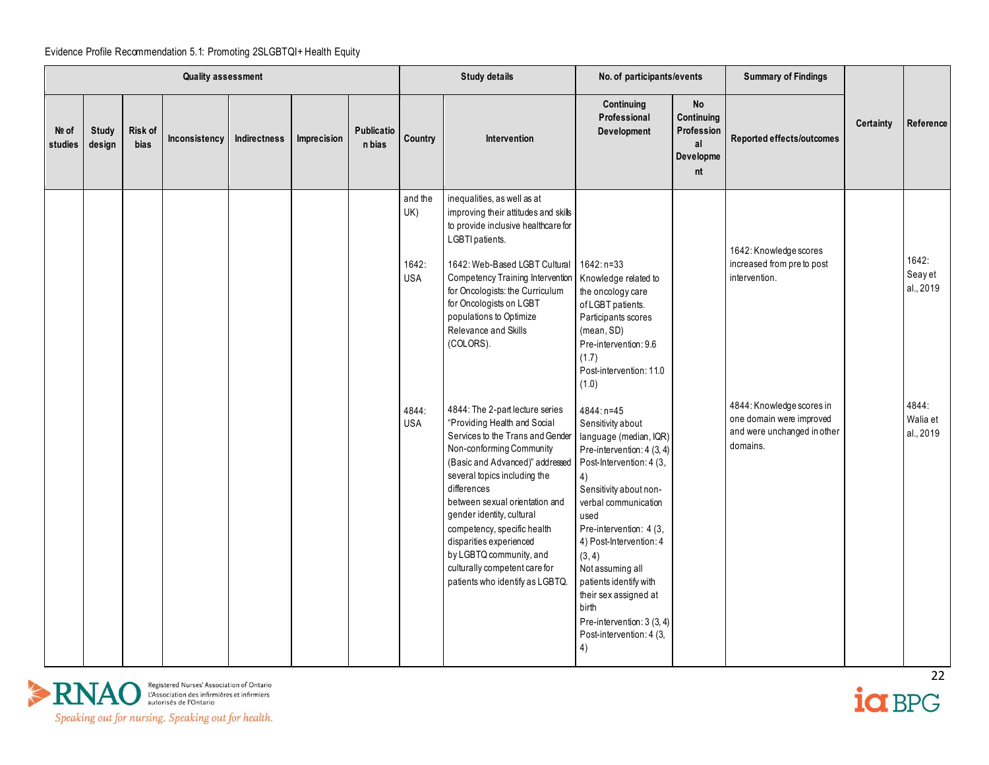|                  |                 |                        | <b>Quality assessment</b> |              |             |                             |                                       | <b>Study details</b>                                                                                                                                                                                                                                                                                                                                                                                                                      | No. of participants/events                                                                                                                                                                                                                                                                                                                                                                          |                                                                | <b>Summary of Findings</b>                                                                         |                  |                                        |
|------------------|-----------------|------------------------|---------------------------|--------------|-------------|-----------------------------|---------------------------------------|-------------------------------------------------------------------------------------------------------------------------------------------------------------------------------------------------------------------------------------------------------------------------------------------------------------------------------------------------------------------------------------------------------------------------------------------|-----------------------------------------------------------------------------------------------------------------------------------------------------------------------------------------------------------------------------------------------------------------------------------------------------------------------------------------------------------------------------------------------------|----------------------------------------------------------------|----------------------------------------------------------------------------------------------------|------------------|----------------------------------------|
| Nº of<br>studies | Study<br>design | Risk of<br><b>bias</b> | Inconsistency             | Indirectness | Imprecision | <b>Publicatio</b><br>n bias | Country                               | Intervention                                                                                                                                                                                                                                                                                                                                                                                                                              | Continuing<br>Professional<br>Development                                                                                                                                                                                                                                                                                                                                                           | <b>No</b><br>Continuing<br>Profession<br>al<br>Developme<br>nt | Reported effects/outcomes                                                                          | <b>Certainty</b> | Reference                              |
|                  |                 |                        |                           |              |             |                             | and the<br>UK)<br>1642:<br><b>USA</b> | inequalities, as well as at<br>improving their attitudes and skills<br>to provide inclusive healthcare for<br>LGBTI patients.<br>1642: Web-Based LGBT Cultural<br>Competency Training Intervention<br>for Oncologists: the Curriculum<br>for Oncologists on LGBT<br>populations to Optimize<br>Relevance and Skills<br>(COLORS).                                                                                                          | $1642: n=33$<br>Knowledge related to<br>the oncology care<br>of LGBT patients.<br>Participants scores<br>(mean, SD)<br>Pre-intervention: 9.6<br>(1.7)<br>Post-intervention: 11.0<br>(1.0)                                                                                                                                                                                                           |                                                                | 1642: Knowledge scores<br>increased from pre to post<br>intervention.<br>4844: Knowledge scores in |                  | 1642:<br>Seay et<br>al., 2019<br>4844: |
|                  |                 |                        |                           |              |             |                             | 4844:<br><b>USA</b>                   | 4844: The 2-part lecture series<br>"Providing Health and Social<br>Services to the Trans and Gender<br>Non-conforming Community<br>(Basic and Advanced)" addressed<br>several topics including the<br>differences<br>between sexual orientation and<br>gender identity, cultural<br>competency, specific health<br>disparities experienced<br>by LGBTQ community, and<br>culturally competent care for<br>patients who identify as LGBTQ. | 4844: n=45<br>Sensitivity about<br>language (median, IQR)<br>Pre-intervention: 4 (3, 4)<br>Post-Intervention: 4 (3,<br>4)<br>Sensitivity about non-<br>verbal communication<br>used<br>Pre-intervention: 4 (3,<br>4) Post-Intervention: 4<br>(3, 4)<br>Not assuming all<br>patients identify with<br>their sex assigned at<br>birth<br>Pre-intervention: 3 (3, 4)<br>Post-intervention: 4 (3,<br>4) |                                                                | one domain were improved<br>and were unchanged in other<br>domains.                                |                  | Walia et<br>al., 2019                  |



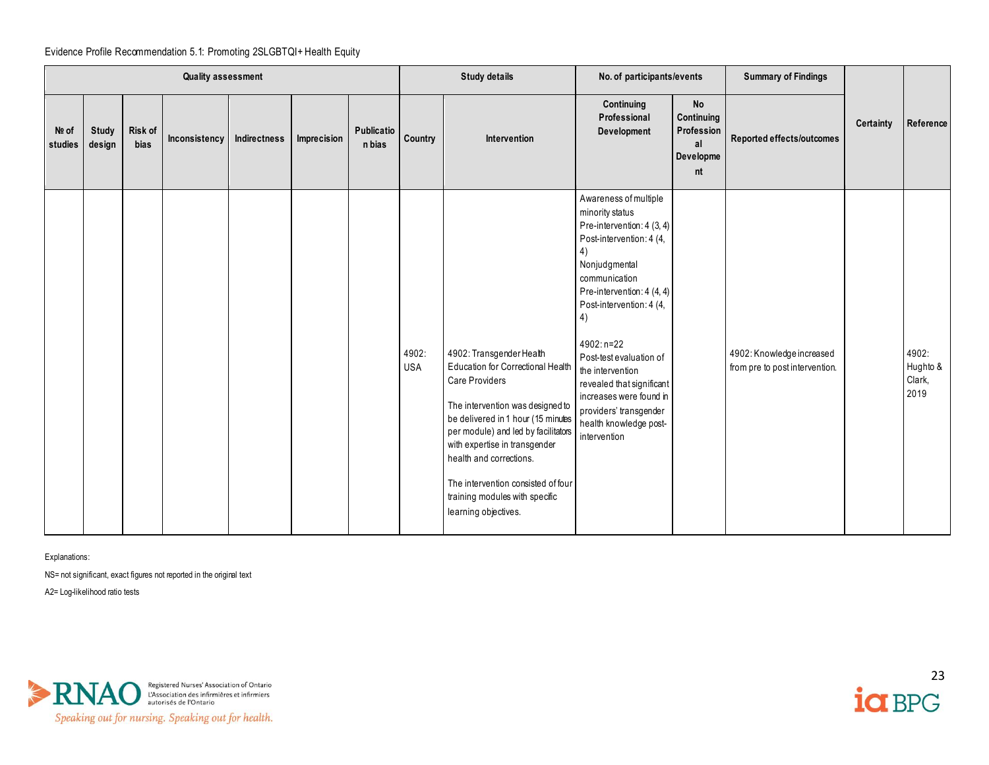|                  | <b>Quality assessment</b><br>Risk of<br><b>Study</b> |      |               |              |             |                      |                     | <b>Study details</b>                                                                                                                                                                                                                                                                                                                                                | No. of participants/events                                                                                                                                                                                                                                                                                                                                                                          |                                                                | <b>Summary of Findings</b>                                  |           |                                     |
|------------------|------------------------------------------------------|------|---------------|--------------|-------------|----------------------|---------------------|---------------------------------------------------------------------------------------------------------------------------------------------------------------------------------------------------------------------------------------------------------------------------------------------------------------------------------------------------------------------|-----------------------------------------------------------------------------------------------------------------------------------------------------------------------------------------------------------------------------------------------------------------------------------------------------------------------------------------------------------------------------------------------------|----------------------------------------------------------------|-------------------------------------------------------------|-----------|-------------------------------------|
| Nº of<br>studies | design                                               | bias | Inconsistency | Indirectness | Imprecision | Publicatio<br>n bias | Country             | Intervention                                                                                                                                                                                                                                                                                                                                                        | Continuing<br>Professional<br>Development                                                                                                                                                                                                                                                                                                                                                           | <b>No</b><br>Continuing<br>Profession<br>al<br>Developme<br>nt | Reported effects/outcomes                                   | Certainty | Reference                           |
|                  |                                                      |      |               |              |             |                      | 4902:<br><b>USA</b> | 4902: Transgender Health<br>Education for Correctional Health<br><b>Care Providers</b><br>The intervention was designed to<br>be delivered in 1 hour (15 minutes<br>per module) and led by facilitators<br>with expertise in transgender<br>health and corrections.<br>The intervention consisted of four<br>training modules with specific<br>learning objectives. | Awareness of multiple<br>minority status<br>Pre-intervention: 4 (3, 4)<br>Post-intervention: 4 (4,<br>4)<br>Nonjudgmental<br>communication<br>Pre-intervention: 4 (4, 4)<br>Post-intervention: 4 (4,<br>4)<br>4902: n=22<br>Post-test evaluation of<br>the intervention<br>revealed that significant<br>increases were found in<br>providers' transgender<br>health knowledge post-<br>intervention |                                                                | 4902: Knowledge increased<br>from pre to post intervention. |           | 4902:<br>Hughto &<br>Clark,<br>2019 |

Explanations:

NS= not significant, exact figures not reported in the original text

A2= Log-likelihood ratio tests



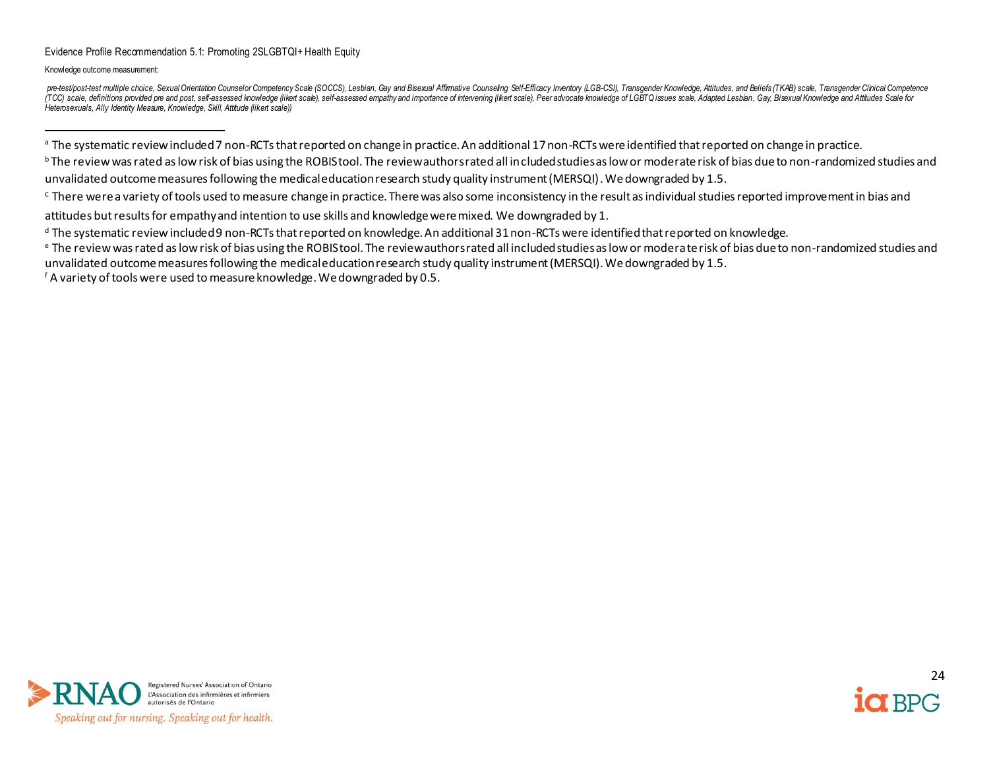Knowledge outcome measurement:

pre-test/post-test multiple choice, Sexual Orientation Counselor Competency Scale (SOCCS), Lesbian, Gay and Bisexual Affimative Counseling Self-Efficacy Inventory (LGB-CSI), Transgender Knowledge, Attitudes, and Beliefs (T (TCC) scale, definitions provided pre and post, self-assessed knowledge (likent scale), self-assessed empathy and importance of intervening (likent scale), Peer advocate knowledge of LGBTQ issues scale, Adapted Lesbian, Ga *Heterosexuals, Ally Identity Measure, Knowledge, Skill, Attitude (likert scale))* 

<sup>a</sup> The systematic review included 7 non-RCTs that reported on change in practice. An additional 17 non-RCTs were identified that reported on change in practice.

<sup>b</sup> The review was rated as low risk of bias using the ROBIS tool. The review authors rated all included studies as low or moderate risk of bias due to non-randomized studies and unvalidated outcome measures following the medical education research study quality instrument (MERSQI). We downgraded by 1.5.

<sup>c</sup> There were a variety of tools used to measure change in practice. There was also some inconsistency in the result as individual studies reported improvement in bias and

attitudes but results for empathy and intention to use skills and knowledge were mixed. We downgraded by 1.

<sup>f</sup> A variety of tools were used to measure knowledge. We downgraded by 0.5.





<sup>&</sup>lt;sup>d</sup> The systematic review included 9 non-RCTs that reported on knowledge. An additional 31 non-RCTs were identified that reported on knowledge.

<sup>e</sup> The review was rated as low risk of bias using the ROBIS tool. The review authors rated all included studies as low or moderate risk of bias due to non-randomized studies and unvalidated outcome measures following the medical education research study quality instrument (MERSQI). We downgraded by 1.5.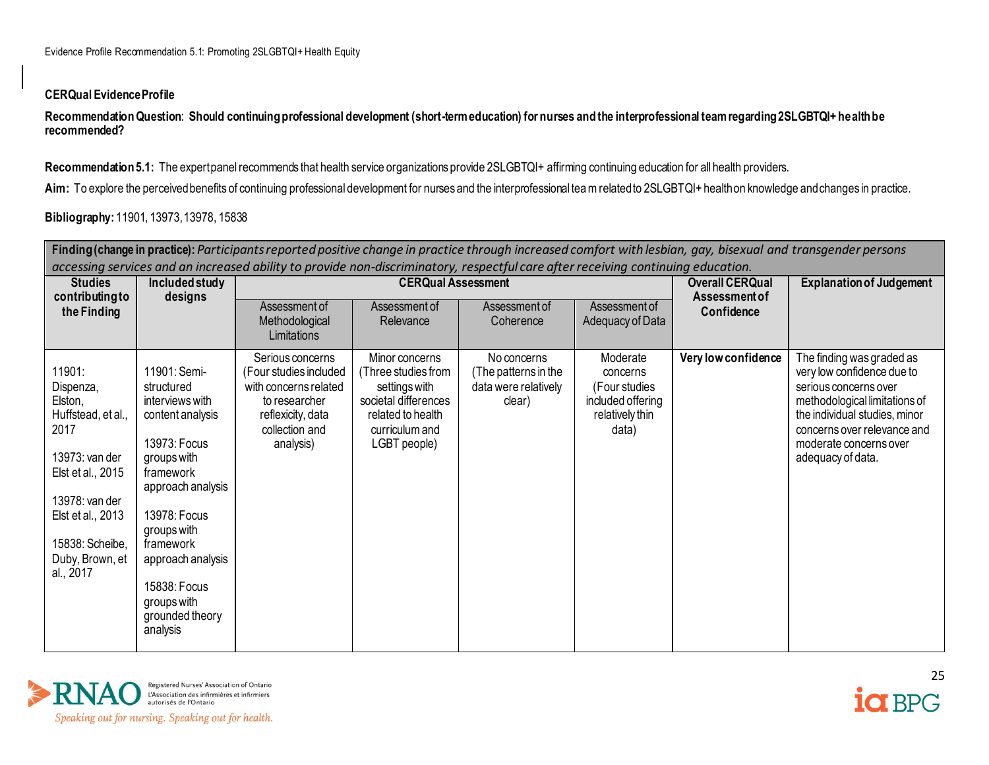### **CERQual Evidence Profile**

**Recommendation Question**: **Should continuing professional development (short-term education) for nurses and the interprofessional team regarding 2SLGBTQI+ health be recommended?**

Recommendation 5.1: The expert panel recommends that health service organizations provide 2SLGBTQI+ affirming continuing education for all health providers.

Aim: To explore the perceived benefits of continuing professional development for nurses and the interprofessional team related to 2SLGBTQI+ health on knowledge and changes in practice.

# **Bibliography:** 11901, 13973, 13978, 15838

|                                                                                                                                                                                               |                                                                                                                                                                                                                                                                   | accessing services and an increased ability to provide non-discriminatory, respectful care after receiving continuing education.         |                                                                                                                                       |                                                                       |                                                                                        |                                                | Finding (change in practice): Participants reported positive change in practice through increased comfort with lesbian, gay, bisexual and transgender persons                                                                    |
|-----------------------------------------------------------------------------------------------------------------------------------------------------------------------------------------------|-------------------------------------------------------------------------------------------------------------------------------------------------------------------------------------------------------------------------------------------------------------------|------------------------------------------------------------------------------------------------------------------------------------------|---------------------------------------------------------------------------------------------------------------------------------------|-----------------------------------------------------------------------|----------------------------------------------------------------------------------------|------------------------------------------------|----------------------------------------------------------------------------------------------------------------------------------------------------------------------------------------------------------------------------------|
| <b>Studies</b><br>contributing to                                                                                                                                                             | Included study<br>designs                                                                                                                                                                                                                                         |                                                                                                                                          | <b>CERQual Assessment</b>                                                                                                             |                                                                       |                                                                                        | <b>Overall CERQual</b><br><b>Assessment of</b> | <b>Explanation of Judgement</b>                                                                                                                                                                                                  |
| the Finding                                                                                                                                                                                   |                                                                                                                                                                                                                                                                   | Assessment of<br>Methodological<br>Limitations                                                                                           | Assessment of<br>Relevance                                                                                                            | Assessment of<br>Coherence                                            | Assessment of<br>Adequacy of Data                                                      | Confidence                                     |                                                                                                                                                                                                                                  |
| 11901:<br>Dispenza,<br>Elston,<br>Huffstead, et al.,<br>2017<br>13973: van der<br>Elst et al., 2015<br>13978: van der<br>Elst et al., 2013<br>15838: Scheibe,<br>Duby, Brown, et<br>al., 2017 | 11901: Semi-<br>structured<br>interviews with<br>content analysis<br>13973: Focus<br>groups with<br>framework<br>approach analysis<br>13978: Focus<br>groups with<br>framework<br>approach analysis<br>15838: Focus<br>groups with<br>grounded theory<br>analysis | Serious concerns<br>(Four studies included<br>with concerns related<br>to researcher<br>reflexicity, data<br>collection and<br>analysis) | Minor concerns<br>(Three studies from<br>settings with<br>societal differences<br>related to health<br>curriculum and<br>LGBT people) | No concerns<br>(The patterns in the<br>data were relatively<br>clear) | Moderate<br>concerns<br>(Four studies<br>included offering<br>relatively thin<br>data) | Very low confidence                            | The finding was graded as<br>very low confidence due to<br>serious concerns over<br>methodological limitations of<br>the individual studies, minor<br>concerns over relevance and<br>moderate concerns over<br>adequacy of data. |